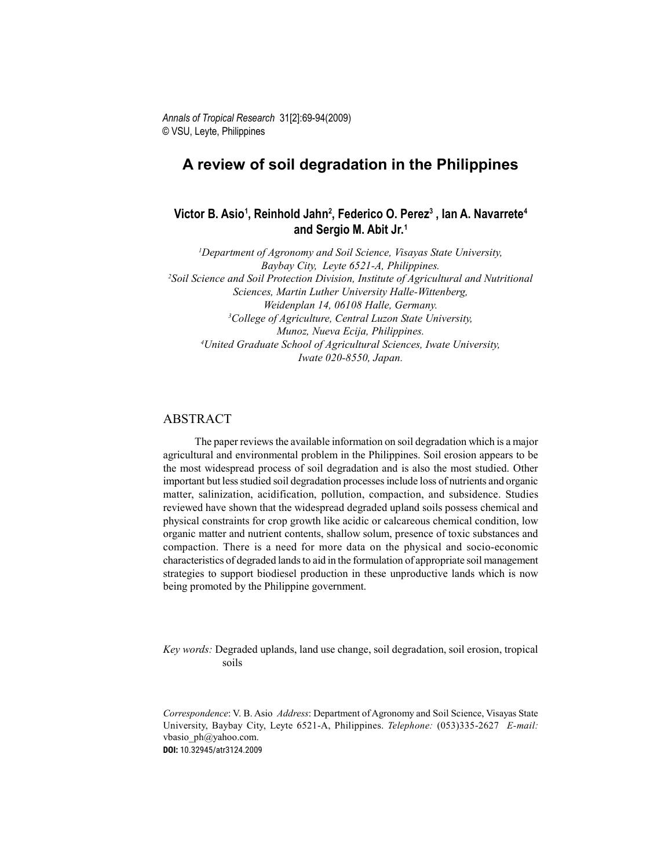# A review of soil degradation in the Philippines

# Victor B. Asio<sup>1</sup>, Reinhold Jahn<sup>2</sup>, Federico O. Perez<sup>3</sup> , Ian A. Navarrete<sup>4</sup> and Sergio M. Abit Jr.<sup>1</sup>

<sup>1</sup>Department of Agronomy and Soil Science, Visayas State University, Baybay City, Leyte 6521-A, Philippines. <sup>2</sup>Soil Science and Soil Protection Division, Institute of Agricultural and Nutritional Sciences, Martin Luther University Halle-Wittenberg, Weidenplan 14, 06108 Halle, Germany. <sup>3</sup>College of Agriculture, Central Luzon State University, Munoz, Nueva Ecija, Philippines. <sup>4</sup>United Graduate School of Agricultural Sciences, Iwate University, Iwate 020-8550, Japan.

### ABSTRACT

The paper reviews the available information on soil degradation which is a major agricultural and environmental problem in the Philippines. Soil erosion appears to be the most widespread process of soil degradation and is also the most studied. Other important but less studied soil degradation processes include loss of nutrients and organic matter, salinization, acidification, pollution, compaction, and subsidence. Studies reviewed have shown that the widespread degraded upland soils possess chemical and physical constraints for crop growth like acidic or calcareous chemical condition, low organic matter and nutrient contents, shallow solum, presence of toxic substances and compaction. There is a need for more data on the physical and socio-economic characteristics of degraded lands to aid in the formulation of appropriate soil management strategies to support biodiesel production in these unproductive lands which is now being promoted by the Philippine government.

Key words: Degraded uplands, land use change, soil degradation, soil erosion, tropical soils

Correspondence: V. B. Asio Address: Department of Agronomy and Soil Science, Visayas State University, Baybay City, Leyte 6521-A, Philippines. Telephone: (053)335-2627 E-mail: vbasio\_ph@yahoo.com. **DOI:** 10.32945/atr3124.2009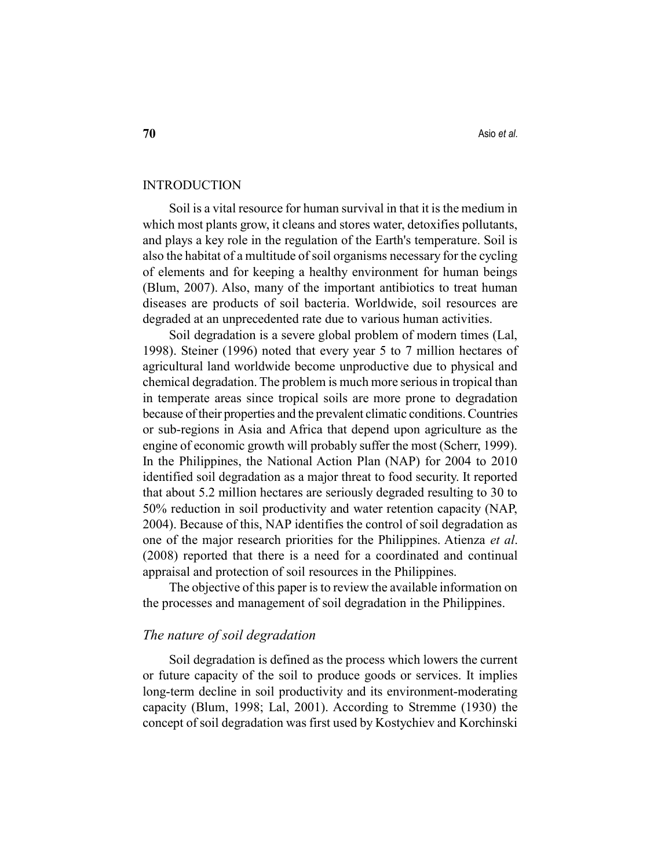## INTRODUCTION

Soil is a vital resource for human survival in that it is the medium in which most plants grow, it cleans and stores water, detoxifies pollutants, and plays a key role in the regulation of the Earth's temperature. Soil is also the habitat of a multitude of soil organisms necessary for the cycling of elements and for keeping a healthy environment for human beings (Blum, 2007). Also, many of the important antibiotics to treat human diseases are products of soil bacteria. Worldwide, soil resources are degraded at an unprecedented rate due to various human activities.

Soil degradation is a severe global problem of modern times (Lal, 1998). Steiner (1996) noted that every year 5 to 7 million hectares of agricultural land worldwide become unproductive due to physical and chemical degradation. The problem is much more serious in tropical than in temperate areas since tropical soils are more prone to degradation because of their properties and the prevalent climatic conditions. Countries or sub-regions in Asia and Africa that depend upon agriculture as the engine of economic growth will probably suffer the most (Scherr, 1999). In the Philippines, the National Action Plan (NAP) for 2004 to 2010 identified soil degradation as a major threat to food security. It reported that about 5.2 million hectares are seriously degraded resulting to 30 to 50% reduction in soil productivity and water retention capacity (NAP, 2004). Because of this, NAP identifies the control of soil degradation as one of the major research priorities for the Philippines. Atienza et al. (2008) reported that there is a need for a coordinated and continual appraisal and protection of soil resources in the Philippines.

The objective of this paper is to review the available information on the processes and management of soil degradation in the Philippines.

## The nature of soil degradation

Soil degradation is defined as the process which lowers the current or future capacity of the soil to produce goods or services. It implies long-term decline in soil productivity and its environment-moderating capacity (Blum, 1998; Lal, 2001). According to Stremme (1930) the concept of soil degradation was first used by Kostychiev and Korchinski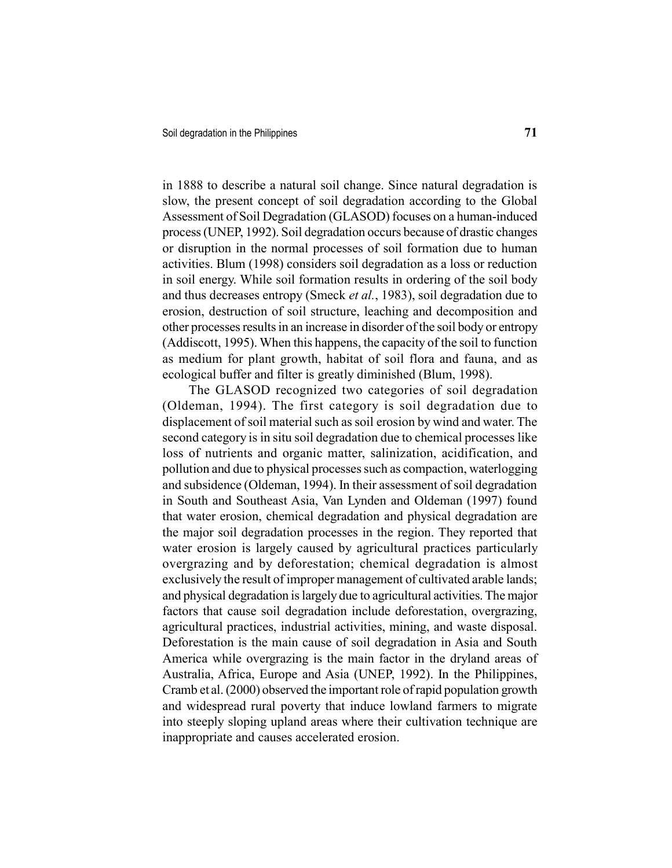in 1888 to describe a natural soil change. Since natural degradation is slow, the present concept of soil degradation according to the Global Assessment of Soil Degradation (GLASOD) focuses on a human-induced process (UNEP, 1992). Soil degradation occurs because of drastic changes or disruption in the normal processes of soil formation due to human activities. Blum (1998) considers soil degradation as a loss or reduction in soil energy. While soil formation results in ordering of the soil body and thus decreases entropy (Smeck et al., 1983), soil degradation due to erosion, destruction of soil structure, leaching and decomposition and other processes results in an increase in disorder of the soil body or entropy (Addiscott, 1995). When this happens, the capacity of the soil to function as medium for plant growth, habitat of soil flora and fauna, and as ecological buffer and filter is greatly diminished (Blum, 1998).

The GLASOD recognized two categories of soil degradation (Oldeman, 1994). The first category is soil degradation due to displacement of soil material such as soil erosion by wind and water. The second category is in situ soil degradation due to chemical processes like loss of nutrients and organic matter, salinization, acidification, and pollution and due to physical processes such as compaction, waterlogging and subsidence (Oldeman, 1994). In their assessment of soil degradation in South and Southeast Asia, Van Lynden and Oldeman (1997) found that water erosion, chemical degradation and physical degradation are the major soil degradation processes in the region. They reported that water erosion is largely caused by agricultural practices particularly overgrazing and by deforestation; chemical degradation is almost exclusively the result of improper management of cultivated arable lands; and physical degradation is largely due to agricultural activities. The major factors that cause soil degradation include deforestation, overgrazing, agricultural practices, industrial activities, mining, and waste disposal. Deforestation is the main cause of soil degradation in Asia and South America while overgrazing is the main factor in the dryland areas of Australia, Africa, Europe and Asia (UNEP, 1992). In the Philippines, Cramb et al. (2000) observed the important role of rapid population growth and widespread rural poverty that induce lowland farmers to migrate into steeply sloping upland areas where their cultivation technique are inappropriate and causes accelerated erosion.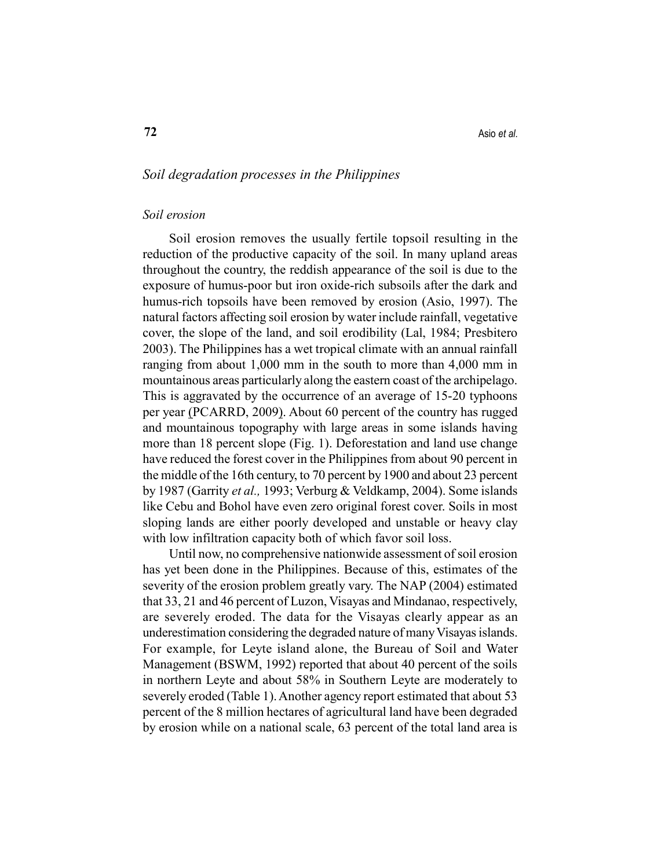## Soil degradation processes in the Philippines

#### Soil erosion

Soil erosion removes the usually fertile topsoil resulting in the reduction of the productive capacity of the soil. In many upland areas throughout the country, the reddish appearance of the soil is due to the exposure of humus-poor but iron oxide-rich subsoils after the dark and humus-rich topsoils have been removed by erosion (Asio, 1997). The natural factors affecting soil erosion by water include rainfall, vegetative cover, the slope of the land, and soil erodibility (Lal, 1984; Presbitero 2003). The Philippines has a wet tropical climate with an annual rainfall ranging from about 1,000 mm in the south to more than 4,000 mm in mountainous areas particularly along the eastern coast of the archipelago. This is aggravated by the occurrence of an average of 15-20 typhoons per year (PCARRD, 2009). About 60 percent of the country has rugged and mountainous topography with large areas in some islands having more than 18 percent slope (Fig. 1). Deforestation and land use change have reduced the forest cover in the Philippines from about 90 percent in the middle of the 16th century, to 70 percent by 1900 and about 23 percent by 1987 (Garrity et al., 1993; Verburg & Veldkamp, 2004). Some islands like Cebu and Bohol have even zero original forest cover. Soils in most sloping lands are either poorly developed and unstable or heavy clay with low infiltration capacity both of which favor soil loss.

Until now, no comprehensive nationwide assessment of soil erosion has yet been done in the Philippines. Because of this, estimates of the severity of the erosion problem greatly vary. The NAP (2004) estimated that 33, 21 and 46 percent of Luzon, Visayas and Mindanao, respectively, are severely eroded. The data for the Visayas clearly appear as an underestimation considering the degraded nature of many Visayas islands. For example, for Leyte island alone, the Bureau of Soil and Water Management (BSWM, 1992) reported that about 40 percent of the soils in northern Leyte and about 58% in Southern Leyte are moderately to severely eroded (Table 1). Another agency report estimated that about 53 percent of the 8 million hectares of agricultural land have been degraded by erosion while on a national scale, 63 percent of the total land area is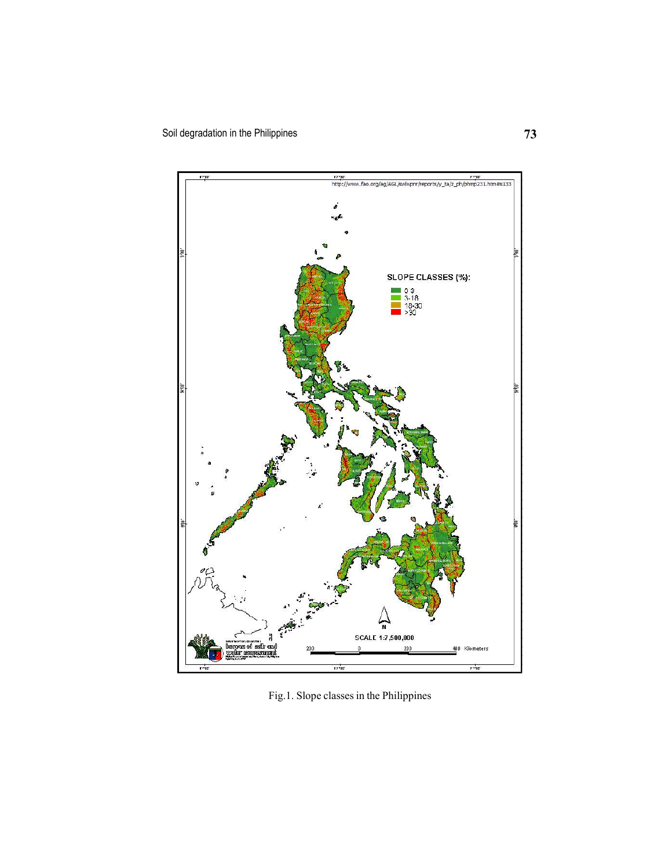

Fig.1. Slope classes in the Philippines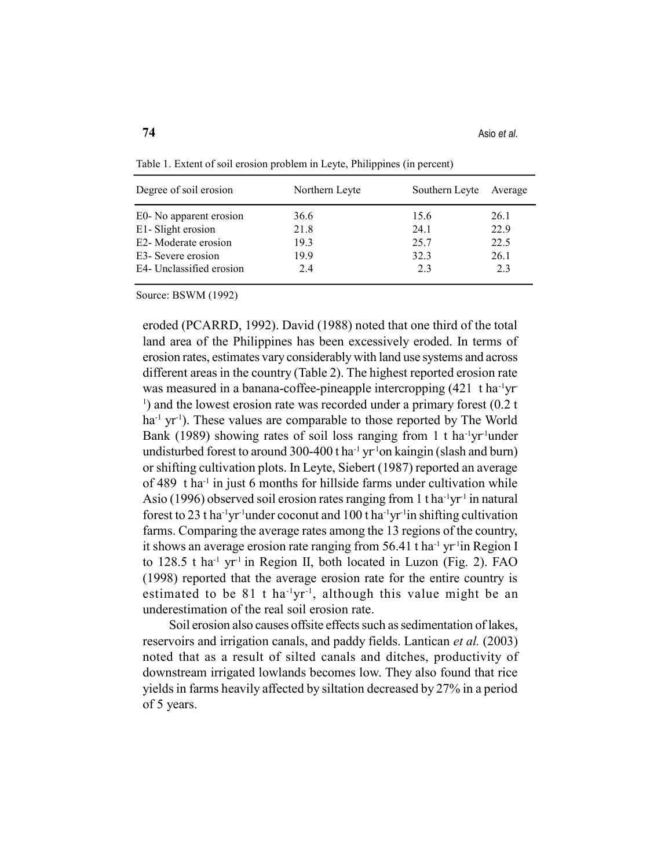| Degree of soil erosion   | Northern Leyte | Southern Leyte | Average |
|--------------------------|----------------|----------------|---------|
| E0- No apparent erosion  | 36.6           | 15.6           | 26.1    |
| E1- Slight erosion       | 21.8           | 24.1           | 22.9    |
| E2- Moderate erosion     | 19.3           | 25.7           | 22.5    |
| E3- Severe erosion       | 19.9           | 32.3           | 26.1    |
| E4- Unclassified erosion | 2.4            | 2.3            | 2.3     |

Table 1. Extent of soil erosion problem in Leyte, Philippines (in percent)

Source: BSWM (1992)

eroded (PCARRD, 1992). David (1988) noted that one third of the total land area of the Philippines has been excessively eroded. In terms of erosion rates, estimates vary considerably with land use systems and across different areas in the country (Table 2). The highest reported erosion rate was measured in a banana-coffee-pineapple intercropping  $(421 \text{ tha}^3 \text{yr}^{-1})$ <sup>1</sup>) and the lowest erosion rate was recorded under a primary forest (0.2 t  $ha^{-1}$  yr<sup>-1</sup>). These values are comparable to those reported by The World Bank (1989) showing rates of soil loss ranging from 1 t ha<sup>-1</sup>yr<sup>-1</sup>under undisturbed forest to around 300-400 t ha<sup>-1</sup> yr<sup>-1</sup>on kaingin (slash and burn) or shifting cultivation plots. In Leyte, Siebert (1987) reported an average of 489 t ha-1 in just 6 months for hillside farms under cultivation while Asio (1996) observed soil erosion rates ranging from 1 t ha<sup>-1</sup>yr<sup>-1</sup> in natural forest to 23 t ha<sup>-1</sup>yr<sup>-1</sup>under coconut and 100 t ha<sup>-1</sup>yr<sup>-1</sup>in shifting cultivation farms. Comparing the average rates among the 13 regions of the country, it shows an average erosion rate ranging from  $56.41$  t ha<sup>-1</sup> yr<sup>-1</sup>in Region I to  $128.5$  t ha<sup>-1</sup> yr<sup>-1</sup> in Region II, both located in Luzon (Fig. 2). FAO (1998) reported that the average erosion rate for the entire country is estimated to be  $81$  t ha<sup>-1</sup>yr<sup>-1</sup>, although this value might be an underestimation of the real soil erosion rate.

Soil erosion also causes offsite effects such as sedimentation of lakes, reservoirs and irrigation canals, and paddy fields. Lantican et al. (2003) noted that as a result of silted canals and ditches, productivity of downstream irrigated lowlands becomes low. They also found that rice yields in farms heavily affected by siltation decreased by 27% in a period of 5 years.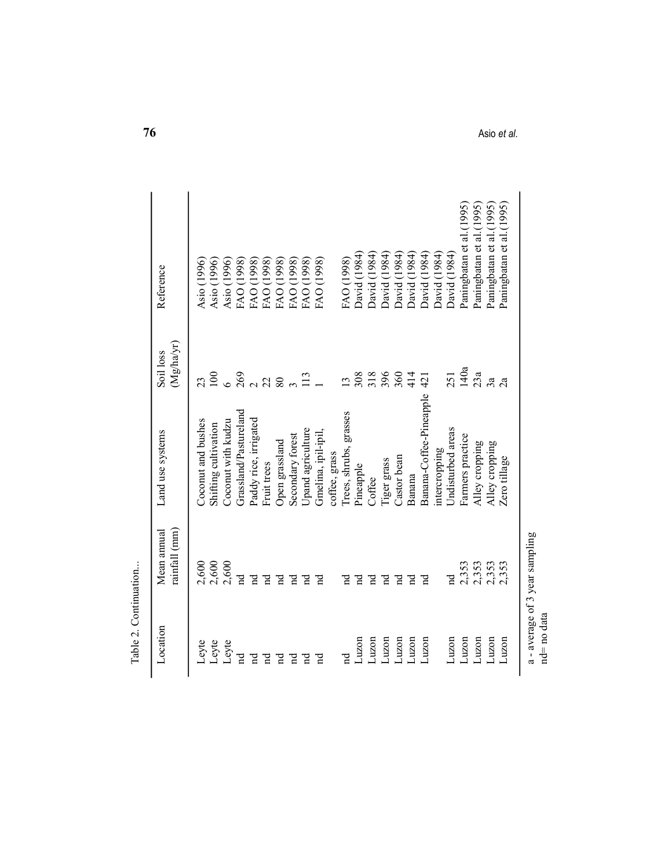| Pineapple<br>Banana<br>Coffee<br>rainfall (mm)<br>Mean annual<br>2,600<br>2,600<br>2,600<br>2,353<br>2,353<br>2,353<br>2,353<br>$\operatorname{Id}$<br>$\mathbf{p}$<br>$\overline{\mathbf{a}}$<br>pq<br>Fq<br>$\mathbf{F}$<br>$\Xi$<br>$\Xi$<br>Fq<br>$\operatorname{Id}$<br>ਵ<br>$\mathbf{F}$<br>$\vec{a}$<br>$_{\rm nd}$<br>$\Xi$<br>Location<br>Luzon<br>Luzon<br>Luzon<br>Luzon<br>Luzon<br>Luzon<br>Luzon<br>Luzon<br>Luzon<br>Luzon<br>Luzon<br>Leyte<br>Leyte<br>Leyte<br>F<br>$\rm _{nd}$<br>$\mathbf{F}$<br>Ĕ<br>Ĕ<br>$_{\rm nd}$<br>Ĕ<br>$\mathbf{F}$ | Grassland/Pastureland<br>Coconut with kudzu<br>Paddy rice, irrigated<br>Coconut and bushes<br>Shifting cultivation<br>Upand agriculture<br>Land use systems<br>Gmelina, ipil-ipil,<br>Secondary forest<br>Open grassland<br>coffee, grass<br>Fruit trees | $(Mg/ha/yr)$<br>Soil loss<br>100<br>23 | Reference                 | 76          |  |
|-----------------------------------------------------------------------------------------------------------------------------------------------------------------------------------------------------------------------------------------------------------------------------------------------------------------------------------------------------------------------------------------------------------------------------------------------------------------------------------------------------------------------------------------------------------------|----------------------------------------------------------------------------------------------------------------------------------------------------------------------------------------------------------------------------------------------------------|----------------------------------------|---------------------------|-------------|--|
|                                                                                                                                                                                                                                                                                                                                                                                                                                                                                                                                                                 |                                                                                                                                                                                                                                                          |                                        |                           |             |  |
|                                                                                                                                                                                                                                                                                                                                                                                                                                                                                                                                                                 |                                                                                                                                                                                                                                                          |                                        | Asio (1996)               |             |  |
|                                                                                                                                                                                                                                                                                                                                                                                                                                                                                                                                                                 |                                                                                                                                                                                                                                                          |                                        | Asio (1996)               |             |  |
|                                                                                                                                                                                                                                                                                                                                                                                                                                                                                                                                                                 |                                                                                                                                                                                                                                                          | $\bullet$                              | Asio (1996)               |             |  |
|                                                                                                                                                                                                                                                                                                                                                                                                                                                                                                                                                                 |                                                                                                                                                                                                                                                          | 269                                    | FAO (1998)                |             |  |
|                                                                                                                                                                                                                                                                                                                                                                                                                                                                                                                                                                 |                                                                                                                                                                                                                                                          | 22<br>$\sim$                           | FAO (1998)<br>FAO (1998)  |             |  |
|                                                                                                                                                                                                                                                                                                                                                                                                                                                                                                                                                                 |                                                                                                                                                                                                                                                          | 80                                     | FAO (1998)                |             |  |
|                                                                                                                                                                                                                                                                                                                                                                                                                                                                                                                                                                 |                                                                                                                                                                                                                                                          |                                        | FAO (1998)                |             |  |
|                                                                                                                                                                                                                                                                                                                                                                                                                                                                                                                                                                 |                                                                                                                                                                                                                                                          | 113                                    | FAO (1998)                |             |  |
|                                                                                                                                                                                                                                                                                                                                                                                                                                                                                                                                                                 |                                                                                                                                                                                                                                                          |                                        | FAO (1998)                |             |  |
|                                                                                                                                                                                                                                                                                                                                                                                                                                                                                                                                                                 |                                                                                                                                                                                                                                                          |                                        |                           |             |  |
|                                                                                                                                                                                                                                                                                                                                                                                                                                                                                                                                                                 | Trees, shrubs, grasses                                                                                                                                                                                                                                   | 13                                     | FAO (1998)                |             |  |
|                                                                                                                                                                                                                                                                                                                                                                                                                                                                                                                                                                 |                                                                                                                                                                                                                                                          | 308                                    | David (1984)              |             |  |
|                                                                                                                                                                                                                                                                                                                                                                                                                                                                                                                                                                 |                                                                                                                                                                                                                                                          | 318                                    | David (1984)              |             |  |
|                                                                                                                                                                                                                                                                                                                                                                                                                                                                                                                                                                 | Tiger grass                                                                                                                                                                                                                                              | 396                                    | David (1984)              |             |  |
|                                                                                                                                                                                                                                                                                                                                                                                                                                                                                                                                                                 | Castor bean                                                                                                                                                                                                                                              | 360                                    | David (1984)              |             |  |
|                                                                                                                                                                                                                                                                                                                                                                                                                                                                                                                                                                 |                                                                                                                                                                                                                                                          | 414                                    | David (1984)              |             |  |
|                                                                                                                                                                                                                                                                                                                                                                                                                                                                                                                                                                 | Banana-Coffee-Pineapple                                                                                                                                                                                                                                  | 421                                    | David (1984)              |             |  |
|                                                                                                                                                                                                                                                                                                                                                                                                                                                                                                                                                                 | intercropping                                                                                                                                                                                                                                            |                                        | David (1984)              |             |  |
|                                                                                                                                                                                                                                                                                                                                                                                                                                                                                                                                                                 | Undisturbed areas                                                                                                                                                                                                                                        | 251                                    | David (1984)              |             |  |
|                                                                                                                                                                                                                                                                                                                                                                                                                                                                                                                                                                 | Farmers practice                                                                                                                                                                                                                                         | 140a                                   | Paningbatan et al. (1995) |             |  |
|                                                                                                                                                                                                                                                                                                                                                                                                                                                                                                                                                                 | Alley cropping                                                                                                                                                                                                                                           | 23a                                    | Paningbatan et al. (1995) |             |  |
|                                                                                                                                                                                                                                                                                                                                                                                                                                                                                                                                                                 | Alley cropping                                                                                                                                                                                                                                           | 3a                                     | Paningbatan et al. (1995) |             |  |
|                                                                                                                                                                                                                                                                                                                                                                                                                                                                                                                                                                 | Zero tillage                                                                                                                                                                                                                                             | 2a                                     | Paningbatan et al. (1995) | Asio et al. |  |
|                                                                                                                                                                                                                                                                                                                                                                                                                                                                                                                                                                 |                                                                                                                                                                                                                                                          |                                        |                           |             |  |
| a-average of 3 year sampling                                                                                                                                                                                                                                                                                                                                                                                                                                                                                                                                    |                                                                                                                                                                                                                                                          |                                        |                           |             |  |
| nd= no data                                                                                                                                                                                                                                                                                                                                                                                                                                                                                                                                                     |                                                                                                                                                                                                                                                          |                                        |                           |             |  |
|                                                                                                                                                                                                                                                                                                                                                                                                                                                                                                                                                                 |                                                                                                                                                                                                                                                          |                                        |                           |             |  |
|                                                                                                                                                                                                                                                                                                                                                                                                                                                                                                                                                                 |                                                                                                                                                                                                                                                          |                                        |                           |             |  |
|                                                                                                                                                                                                                                                                                                                                                                                                                                                                                                                                                                 |                                                                                                                                                                                                                                                          |                                        |                           |             |  |
|                                                                                                                                                                                                                                                                                                                                                                                                                                                                                                                                                                 |                                                                                                                                                                                                                                                          |                                        |                           |             |  |
|                                                                                                                                                                                                                                                                                                                                                                                                                                                                                                                                                                 |                                                                                                                                                                                                                                                          |                                        |                           |             |  |
|                                                                                                                                                                                                                                                                                                                                                                                                                                                                                                                                                                 |                                                                                                                                                                                                                                                          |                                        |                           |             |  |
|                                                                                                                                                                                                                                                                                                                                                                                                                                                                                                                                                                 |                                                                                                                                                                                                                                                          |                                        |                           |             |  |
|                                                                                                                                                                                                                                                                                                                                                                                                                                                                                                                                                                 |                                                                                                                                                                                                                                                          |                                        |                           |             |  |
|                                                                                                                                                                                                                                                                                                                                                                                                                                                                                                                                                                 |                                                                                                                                                                                                                                                          |                                        |                           |             |  |
|                                                                                                                                                                                                                                                                                                                                                                                                                                                                                                                                                                 |                                                                                                                                                                                                                                                          |                                        |                           |             |  |
|                                                                                                                                                                                                                                                                                                                                                                                                                                                                                                                                                                 |                                                                                                                                                                                                                                                          |                                        |                           |             |  |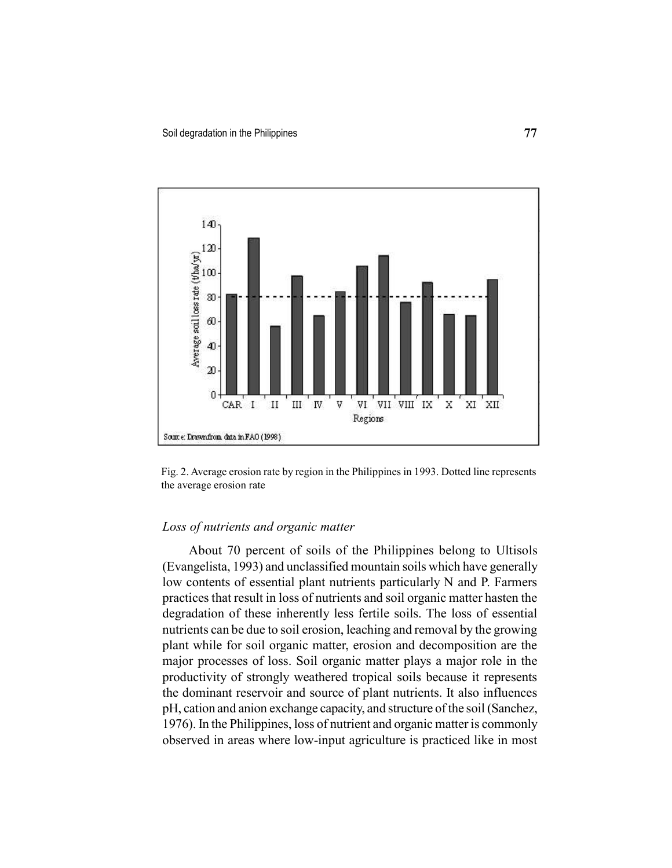

Fig. 2. Average erosion rate by region in the Philippines in 1993. Dotted line represents the average erosion rate

## Loss of nutrients and organic matter

About 70 percent of soils of the Philippines belong to Ultisols (Evangelista, 1993) and unclassified mountain soils which have generally low contents of essential plant nutrients particularly N and P. Farmers practices that result in loss of nutrients and soil organic matter hasten the degradation of these inherently less fertile soils. The loss of essential nutrients can be due to soil erosion, leaching and removal by the growing plant while for soil organic matter, erosion and decomposition are the major processes of loss. Soil organic matter plays a major role in the productivity of strongly weathered tropical soils because it represents the dominant reservoir and source of plant nutrients. It also influences pH, cation and anion exchange capacity, and structure of the soil (Sanchez, 1976). In the Philippines, loss of nutrient and organic matter is commonly observed in areas where low-input agriculture is practiced like in most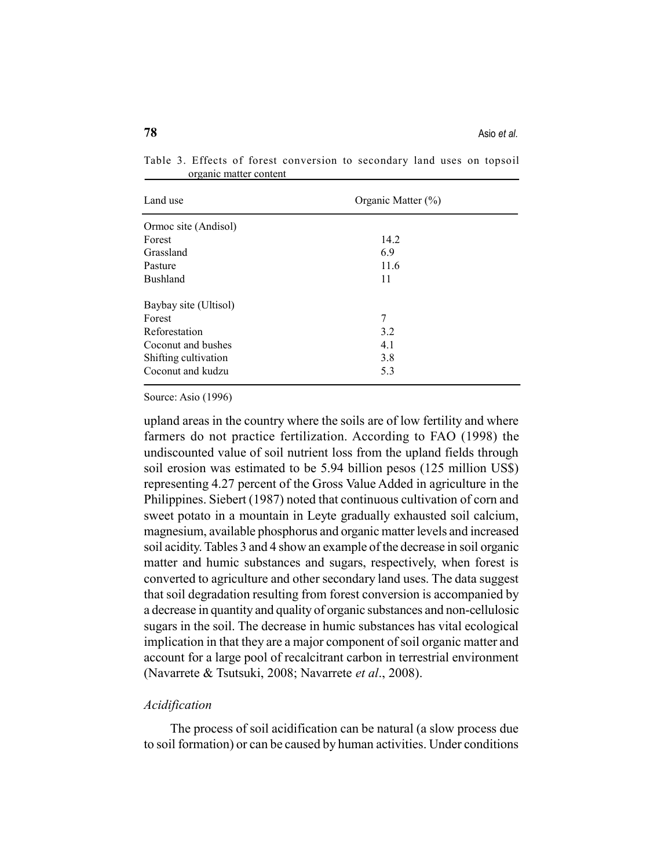| Land use              | Organic Matter (%) |  |
|-----------------------|--------------------|--|
| Ormoc site (Andisol)  |                    |  |
| Forest                | 14.2               |  |
| Grassland             | 6.9                |  |
| Pasture               | 11.6               |  |
| <b>Bushland</b>       | 11                 |  |
| Baybay site (Ultisol) |                    |  |
| Forest                | 7                  |  |
| Reforestation         | 3.2                |  |
| Coconut and bushes    | 4.1                |  |
| Shifting cultivation  | 3.8                |  |
| Coconut and kudzu     | 5.3                |  |

Table 3. Effects of forest conversion to secondary land uses on topsoil organic matter content

Source: Asio (1996)

upland areas in the country where the soils are of low fertility and where farmers do not practice fertilization. According to FAO (1998) the undiscounted value of soil nutrient loss from the upland fields through soil erosion was estimated to be 5.94 billion pesos (125 million US\$) representing 4.27 percent of the Gross Value Added in agriculture in the Philippines. Siebert (1987) noted that continuous cultivation of corn and sweet potato in a mountain in Leyte gradually exhausted soil calcium, magnesium, available phosphorus and organic matter levels and increased soil acidity. Tables 3 and 4 show an example of the decrease in soil organic matter and humic substances and sugars, respectively, when forest is converted to agriculture and other secondary land uses. The data suggest that soil degradation resulting from forest conversion is accompanied by a decrease in quantity and quality of organic substances and non-cellulosic sugars in the soil. The decrease in humic substances has vital ecological implication in that they are a major component of soil organic matter and account for a large pool of recalcitrant carbon in terrestrial environment (Navarrete & Tsutsuki, 2008; Navarrete et al., 2008).

#### Acidification

The process of soil acidification can be natural (a slow process due to soil formation) or can be caused by human activities. Under conditions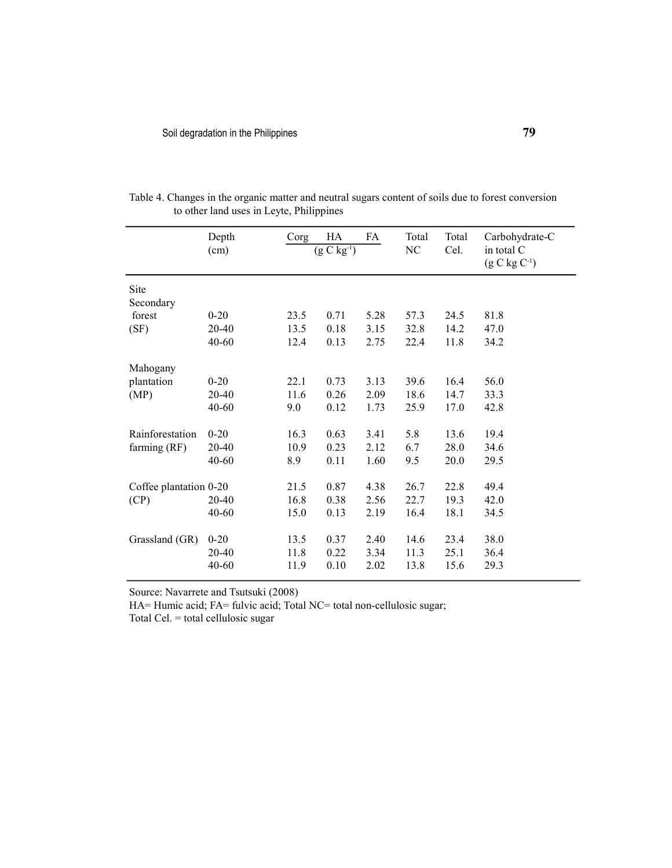|                        | Depth     | Corg | HA           | FA   | Total | Total | Carbohydrate-C                  |
|------------------------|-----------|------|--------------|------|-------|-------|---------------------------------|
|                        | (cm)      |      | $(g C kg-1)$ |      | NC    | Cel.  | in total C<br>$(g C kg C^{-1})$ |
| Site                   |           |      |              |      |       |       |                                 |
| Secondary              |           |      |              |      |       |       |                                 |
| forest                 | $0 - 20$  | 23.5 | 0.71         | 5.28 | 57.3  | 24.5  | 81.8                            |
| (SF)                   | $20 - 40$ | 13.5 | 0.18         | 3.15 | 32.8  | 14.2  | 47.0                            |
|                        | 40-60     | 12.4 | 0.13         | 2.75 | 22.4  | 11.8  | 34.2                            |
| Mahogany               |           |      |              |      |       |       |                                 |
| plantation             | $0 - 20$  | 22.1 | 0.73         | 3.13 | 39.6  | 16.4  | 56.0                            |
| (MP)                   | 20-40     | 11.6 | 0.26         | 2.09 | 18.6  | 14.7  | 33.3                            |
|                        | 40-60     | 9.0  | 0.12         | 1.73 | 25.9  | 17.0  | 42.8                            |
| Rainforestation        | $0 - 20$  | 16.3 | 0.63         | 3.41 | 5.8   | 13.6  | 19.4                            |
| farming (RF)           | 20-40     | 10.9 | 0.23         | 2.12 | 6.7   | 28.0  | 34.6                            |
|                        | $40 - 60$ | 8.9  | 0.11         | 1.60 | 9.5   | 20.0  | 29.5                            |
| Coffee plantation 0-20 |           | 21.5 | 0.87         | 4.38 | 26.7  | 22.8  | 49.4                            |
| (CP)                   | 20-40     | 16.8 | 0.38         | 2.56 | 22.7  | 19.3  | 42.0                            |
|                        | $40 - 60$ | 15.0 | 0.13         | 2.19 | 16.4  | 18.1  | 34.5                            |
| Grassland (GR)         | $0 - 20$  | 13.5 | 0.37         | 2.40 | 14.6  | 23.4  | 38.0                            |
|                        | 20-40     | 11.8 | 0.22         | 3.34 | 11.3  | 25.1  | 36.4                            |
|                        | 40-60     | 11.9 | 0.10         | 2.02 | 13.8  | 15.6  | 29.3                            |

Table 4. Changes in the organic matter and neutral sugars content of soils due to forest conversion to other land uses in Leyte, Philippines

Source: Navarrete and Tsutsuki (2008)

HA= Humic acid; FA= fulvic acid; Total NC= total non-cellulosic sugar;

Total Cel. = total cellulosic sugar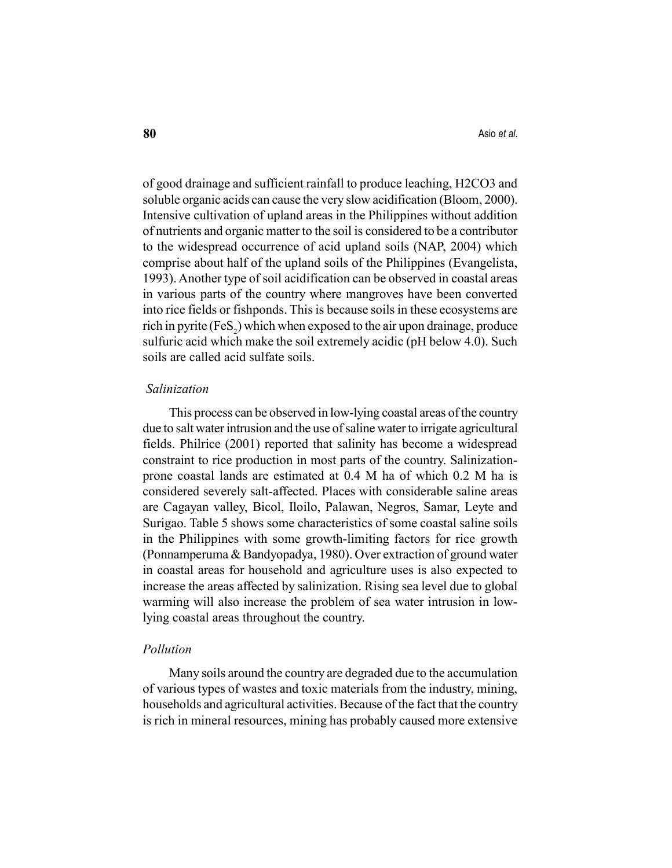of good drainage and sufficient rainfall to produce leaching, H2CO3 and soluble organic acids can cause the very slow acidification (Bloom, 2000). Intensive cultivation of upland areas in the Philippines without addition of nutrients and organic matter to the soil is considered to be a contributor to the widespread occurrence of acid upland soils (NAP, 2004) which comprise about half of the upland soils of the Philippines (Evangelista, 1993). Another type of soil acidification can be observed in coastal areas in various parts of the country where mangroves have been converted into rice fields or fishponds. This is because soils in these ecosystems are rich in pyrite (FeS $_2$ ) which when exposed to the air upon drainage, produce sulfuric acid which make the soil extremely acidic (pH below 4.0). Such soils are called acid sulfate soils.

#### Salinization

This process can be observed in low-lying coastal areas of the country due to salt water intrusion and the use of saline water to irrigate agricultural fields. Philrice (2001) reported that salinity has become a widespread constraint to rice production in most parts of the country. Salinizationprone coastal lands are estimated at 0.4 M ha of which 0.2 M ha is considered severely salt-affected. Places with considerable saline areas are Cagayan valley, Bicol, Iloilo, Palawan, Negros, Samar, Leyte and Surigao. Table 5 shows some characteristics of some coastal saline soils in the Philippines with some growth-limiting factors for rice growth (Ponnamperuma & Bandyopadya, 1980). Over extraction of ground water in coastal areas for household and agriculture uses is also expected to increase the areas affected by salinization. Rising sea level due to global warming will also increase the problem of sea water intrusion in lowlying coastal areas throughout the country.

#### Pollution

Many soils around the country are degraded due to the accumulation of various types of wastes and toxic materials from the industry, mining, households and agricultural activities. Because of the fact that the country is rich in mineral resources, mining has probably caused more extensive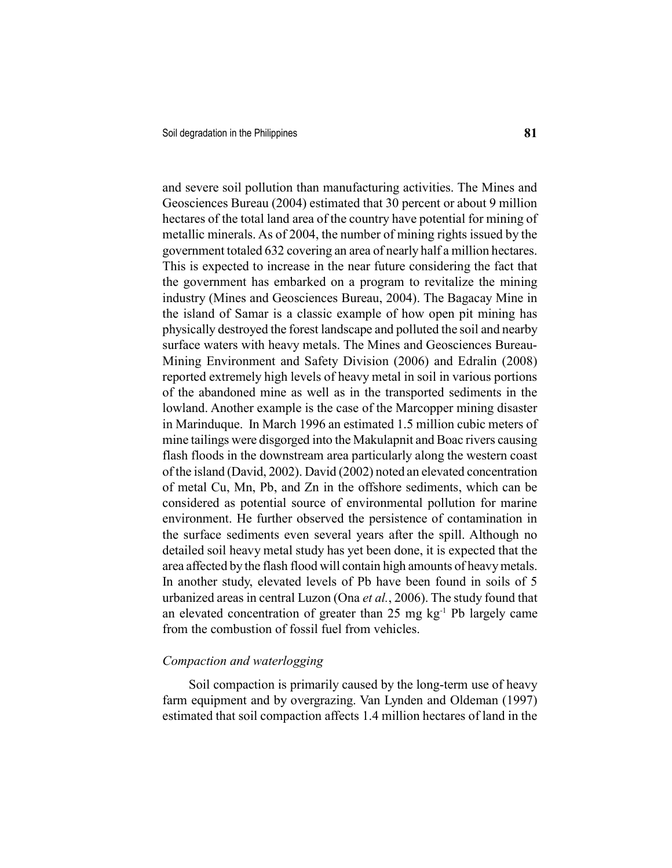and severe soil pollution than manufacturing activities. The Mines and Geosciences Bureau (2004) estimated that 30 percent or about 9 million hectares of the total land area of the country have potential for mining of metallic minerals. As of 2004, the number of mining rights issued by the government totaled 632 covering an area of nearly half a million hectares. This is expected to increase in the near future considering the fact that the government has embarked on a program to revitalize the mining industry (Mines and Geosciences Bureau, 2004). The Bagacay Mine in the island of Samar is a classic example of how open pit mining has physically destroyed the forest landscape and polluted the soil and nearby surface waters with heavy metals. The Mines and Geosciences Bureau-Mining Environment and Safety Division (2006) and Edralin (2008) reported extremely high levels of heavy metal in soil in various portions of the abandoned mine as well as in the transported sediments in the lowland. Another example is the case of the Marcopper mining disaster in Marinduque. In March 1996 an estimated 1.5 million cubic meters of mine tailings were disgorged into the Makulapnit and Boac rivers causing flash floods in the downstream area particularly along the western coast of the island (David, 2002). David (2002) noted an elevated concentration of metal Cu, Mn, Pb, and Zn in the offshore sediments, which can be considered as potential source of environmental pollution for marine environment. He further observed the persistence of contamination in the surface sediments even several years after the spill. Although no detailed soil heavy metal study has yet been done, it is expected that the area affected by the flash flood will contain high amounts of heavy metals. In another study, elevated levels of Pb have been found in soils of 5 urbanized areas in central Luzon (Ona *et al.*, 2006). The study found that an elevated concentration of greater than  $25 \text{ mg kg}^{-1}$  Pb largely came from the combustion of fossil fuel from vehicles.

#### Compaction and waterlogging

Soil compaction is primarily caused by the long-term use of heavy farm equipment and by overgrazing. Van Lynden and Oldeman (1997) estimated that soil compaction affects 1.4 million hectares of land in the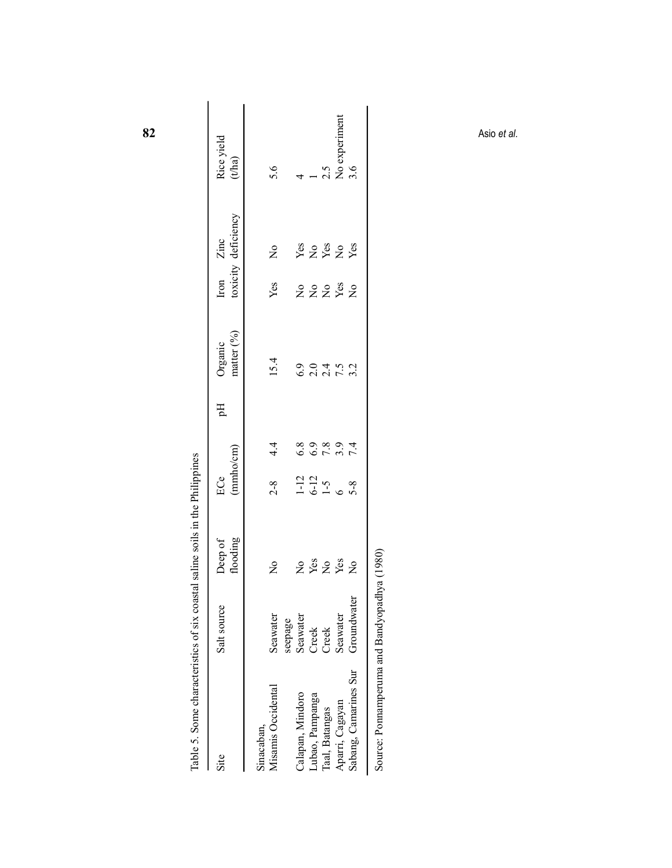| Table 5. Some characteristics of six coastal saline soils in the Philippines |                         |                                                  |                    |       |    |                                                             |                                           |                                |                               |
|------------------------------------------------------------------------------|-------------------------|--------------------------------------------------|--------------------|-------|----|-------------------------------------------------------------|-------------------------------------------|--------------------------------|-------------------------------|
| Site                                                                         | Salt source             | flooding<br>Deep of                              | (mmbocm)<br>ECe    |       | Hq | matter $(^{9}_{0})$<br>Organic                              | Iron                                      | toxicity deficiency<br>Zinc    | Rice yield<br>$_{\rm (t/ha)}$ |
| Misamis Occidental<br>Sinacaban,                                             | Seawater                | $\mathop{\mathsf{S}}\nolimits$                   | $2 - 8$            | 4.4   |    | 15.4                                                        | Yes                                       | $\mathop{\mathsf{S}}\nolimits$ | 5.6                           |
|                                                                              | seepage                 |                                                  |                    |       |    |                                                             |                                           |                                |                               |
| Calapan, Mindoro                                                             | Seawater                | $\mathop{\mathsf{S}}\nolimits$                   | $1-12$             | 6.8   |    | 6.9                                                         | $\mathop{\mathsf{S}}\nolimits$            | Yes                            | 4                             |
| Lubao, Pampanga                                                              | Creek                   | $\mathbf{Yes}$                                   | $6 - 12$           | $6.9$ |    | $2.0\,$                                                     | $\mathsf{S}^{\mathsf{o}}$                 | $\overline{a}$                 | $\overline{\phantom{0}}$      |
| Taal, Batangas                                                               | Creek                   | $\overline{a}$                                   | $1 - 5$            |       |    |                                                             | $\mathsf{S}^{\mathsf{O}}$                 | Yes                            | 2.5                           |
| Sabang, Camarines Sur<br>Aparri, Cagayan                                     | Groundwater<br>Seawater | $\mathbf{Yes}$<br>$\mathop{\mathsf{S}}\nolimits$ | $5 - 8$<br>$\circ$ | 7894  |    | $\begin{array}{c}\n 7.6 \\ 7.6 \\ 7.0 \\ 7.0\n \end{array}$ | ${\it Yes}$<br>$\rm \stackrel{o}{\simeq}$ | Yes<br>$\overline{\mathsf{X}}$ | No experiment<br>3.6          |
|                                                                              |                         |                                                  |                    |       |    |                                                             |                                           |                                |                               |
|                                                                              |                         |                                                  |                    |       |    |                                                             |                                           |                                | Asio et al.                   |
|                                                                              |                         |                                                  |                    |       |    |                                                             |                                           |                                |                               |
|                                                                              |                         |                                                  |                    |       |    |                                                             |                                           |                                |                               |
|                                                                              |                         |                                                  |                    |       |    |                                                             |                                           |                                |                               |
|                                                                              |                         |                                                  |                    |       |    |                                                             |                                           |                                |                               |
|                                                                              |                         |                                                  |                    |       |    |                                                             |                                           |                                |                               |

82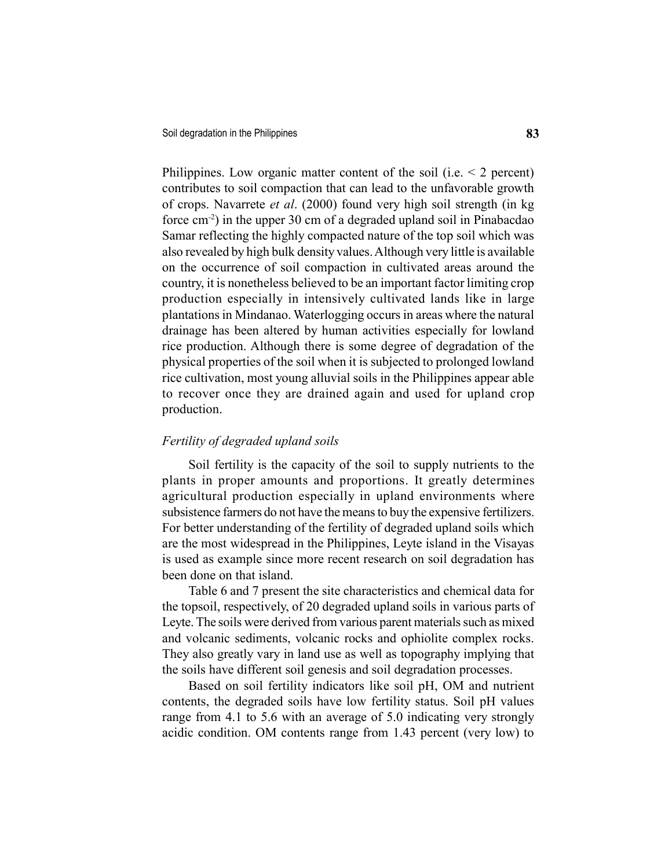Philippines. Low organic matter content of the soil (i.e.  $\leq$  2 percent) contributes to soil compaction that can lead to the unfavorable growth of crops. Navarrete et al. (2000) found very high soil strength (in kg force cm-2) in the upper 30 cm of a degraded upland soil in Pinabacdao Samar reflecting the highly compacted nature of the top soil which was also revealed by high bulk density values. Although very little is available on the occurrence of soil compaction in cultivated areas around the country, it is nonetheless believed to be an important factor limiting crop production especially in intensively cultivated lands like in large plantations in Mindanao. Waterlogging occurs in areas where the natural drainage has been altered by human activities especially for lowland rice production. Although there is some degree of degradation of the physical properties of the soil when it is subjected to prolonged lowland rice cultivation, most young alluvial soils in the Philippines appear able to recover once they are drained again and used for upland crop production.

## Fertility of degraded upland soils

Soil fertility is the capacity of the soil to supply nutrients to the plants in proper amounts and proportions. It greatly determines agricultural production especially in upland environments where subsistence farmers do not have the means to buy the expensive fertilizers. For better understanding of the fertility of degraded upland soils which are the most widespread in the Philippines, Leyte island in the Visayas is used as example since more recent research on soil degradation has been done on that island.

Table 6 and 7 present the site characteristics and chemical data for the topsoil, respectively, of 20 degraded upland soils in various parts of Leyte. The soils were derived from various parent materials such as mixed and volcanic sediments, volcanic rocks and ophiolite complex rocks. They also greatly vary in land use as well as topography implying that the soils have different soil genesis and soil degradation processes.

Based on soil fertility indicators like soil pH, OM and nutrient contents, the degraded soils have low fertility status. Soil pH values range from 4.1 to 5.6 with an average of 5.0 indicating very strongly acidic condition. OM contents range from 1.43 percent (very low) to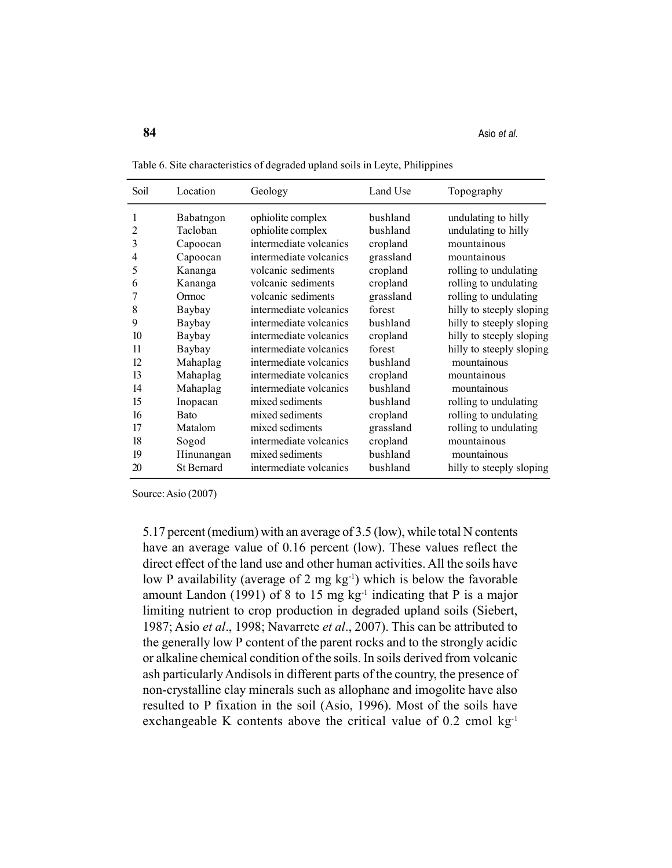| Soil                                                                                             | Location                                                                                                                                                                                                              | Geology                                                                                                                                                                                                                                                                                                                                                                                                                                                  | Land Use                                                                                                                                                                                                                        | Topography                                                                                                                                                                                                                                                                                                                                                                                                                |
|--------------------------------------------------------------------------------------------------|-----------------------------------------------------------------------------------------------------------------------------------------------------------------------------------------------------------------------|----------------------------------------------------------------------------------------------------------------------------------------------------------------------------------------------------------------------------------------------------------------------------------------------------------------------------------------------------------------------------------------------------------------------------------------------------------|---------------------------------------------------------------------------------------------------------------------------------------------------------------------------------------------------------------------------------|---------------------------------------------------------------------------------------------------------------------------------------------------------------------------------------------------------------------------------------------------------------------------------------------------------------------------------------------------------------------------------------------------------------------------|
| 1<br>2<br>3<br>4<br>5<br>6<br>8<br>9<br>10<br>11<br>12<br>13<br>14<br>15<br>16<br>17<br>18<br>19 | Babatngon<br>Tacloban<br>Capoocan<br>Capoocan<br>Kananga<br>Kananga<br>Ormoc<br>Baybay<br>Baybay<br>Baybay<br>Baybay<br>Mahaplag<br>Mahaplag<br>Mahaplag<br>Inopacan<br><b>Bato</b><br>Matalom<br>Sogod<br>Hinunangan | ophiolite complex<br>ophiolite complex<br>intermediate volcanics<br>intermediate volcanics<br>volcanic sediments<br>volcanic sediments<br>volcanic sediments<br>intermediate volcanics<br>intermediate volcanics<br>intermediate volcanics<br>intermediate volcanics<br>intermediate volcanics<br>intermediate volcanics<br>intermediate volcanics<br>mixed sediments<br>mixed sediments<br>mixed sediments<br>intermediate volcanics<br>mixed sediments | bushland<br>bushland<br>cropland<br>grassland<br>cropland<br>cropland<br>grassland<br>forest<br>bushland<br>cropland<br>forest<br>bushland<br>cropland<br>bushland<br>bushland<br>cropland<br>grassland<br>cropland<br>bushland | undulating to hilly<br>undulating to hilly<br>mountainous<br>mountainous<br>rolling to undulating<br>rolling to undulating<br>rolling to undulating<br>hilly to steeply sloping<br>hilly to steeply sloping<br>hilly to steeply sloping<br>hilly to steeply sloping<br>mountainous<br>mountainous<br>mountainous<br>rolling to undulating<br>rolling to undulating<br>rolling to undulating<br>mountainous<br>mountainous |
| 20                                                                                               | <b>St Bernard</b>                                                                                                                                                                                                     | intermediate volcanics                                                                                                                                                                                                                                                                                                                                                                                                                                   | bushland                                                                                                                                                                                                                        | hilly to steeply sloping                                                                                                                                                                                                                                                                                                                                                                                                  |

Table 6. Site characteristics of degraded upland soils in Leyte, Philippines

Source: Asio (2007)

5.17 percent (medium) with an average of 3.5 (low), while total N contents have an average value of 0.16 percent (low). These values reflect the direct effect of the land use and other human activities. All the soils have low P availability (average of 2 mg  $kg^{-1}$ ) which is below the favorable amount Landon (1991) of 8 to 15 mg  $kg<sup>-1</sup>$  indicating that P is a major limiting nutrient to crop production in degraded upland soils (Siebert, 1987; Asio et al., 1998; Navarrete et al., 2007). This can be attributed to the generally low P content of the parent rocks and to the strongly acidic or alkaline chemical condition of the soils. In soils derived from volcanic ash particularly Andisols in different parts of the country, the presence of non-crystalline clay minerals such as allophane and imogolite have also resulted to P fixation in the soil (Asio, 1996). Most of the soils have exchangeable K contents above the critical value of  $0.2$  cmol kg<sup>-1</sup>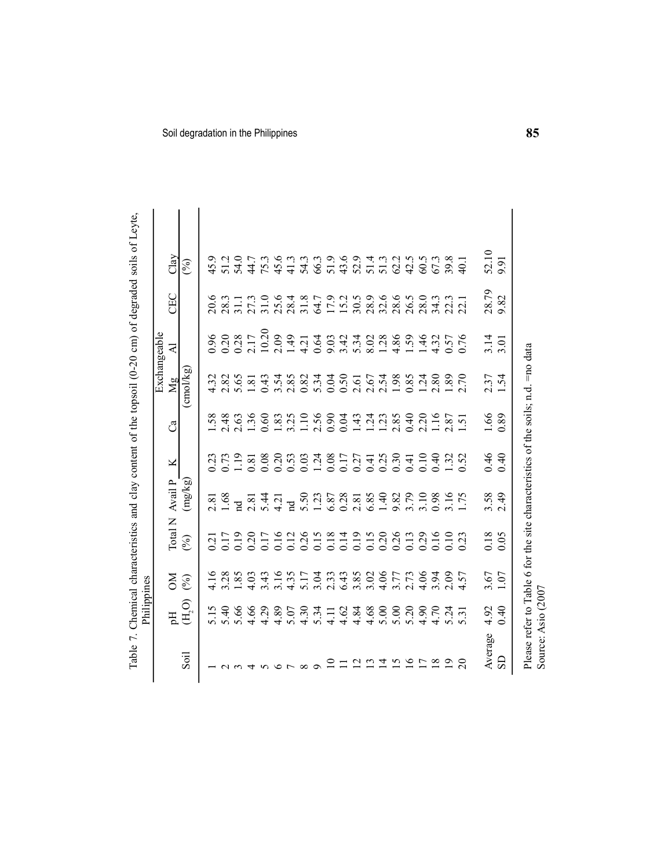| Soil degradation in the Philippines<br>52.10<br>Clay<br>54.0<br>51.9<br>$75.3$<br>45.6<br>54.3<br>66.3<br>43.6<br>52.9<br>51.4<br>62.2<br>42.5<br>67.3<br>39.8<br>45.9<br>51.2<br>41.3<br>51.3<br>60.5<br>9.91<br>44.7<br>40.1<br>$($ % $)$<br>28.79<br>CEC<br>$31.0$<br>$25.6$<br>17.9<br>28.9<br>32.6<br>28.6<br>28.0<br>9.82<br>31.8<br>15.2<br>30.5<br>26.5<br>34.3<br>20.6<br>$28.3$<br>31.1<br>27.3<br>28.4<br>22.3<br>64.7<br>10.20<br>0.20<br>0.96<br>0.28<br>2.17<br>2.09<br>1.49<br>4.86<br>0.64<br>5.34<br>1.28<br>1.59<br>46<br>$3.14$<br>$3.01$<br>9.03<br>3.42<br>8.02<br>4.32<br>$0.57$<br>0.76<br>4.21<br>$\overline{z}$<br>$\overline{\text{cmol}}$ /kg)<br>3.54<br>5.34<br>0.04<br>0.50<br>1.24<br>2.80<br>$\overline{70}$<br>$2.37$<br>1.54<br>4.32<br>2.82<br>5.65<br>0.43<br>2.85<br>0.82<br>2.54<br>1.98<br>0.85<br>1.89<br>$1.81\,$<br>2.61<br>2.67<br>Mg<br>1.36<br>$1.10$<br>2.56<br>0.90<br>0.40<br>$\ddot{c}$<br>1.16<br>1.66<br>0.89<br>$1.58$<br>2.48<br>0.60<br>1.24<br>2.85<br>2.63<br>1.83<br>3.25<br>0.04<br>1.43<br>1.23<br>2.87<br>$\overline{51}$<br>ೆ<br>$\sim$<br>0.46<br>0.40<br>0.20<br>0.30<br>0.10<br>0.40<br>0.73<br>1.19<br>0.08<br>0.53<br>0.03<br>1.24<br>0.08<br>0.25<br>1.32<br>0.23<br>0.81<br>0.17<br>0.27<br>0.41<br>0.41<br>0.52<br>×<br>Avail P<br>(mg/kg)<br>$5.50$<br>1.23<br>0.28<br>1.40<br>3.79<br>3.10<br>$3.58$<br>2.49<br>1.68<br>5.44<br>6.87<br>2.81<br>6.85<br>9.82<br>0.98<br>3.16<br>1.75<br>4.21<br>2.81<br>2.81<br>$\mathbf{p}$<br>$\overline{a}$<br>Total N<br>0.20<br>0.26<br>$0.15$<br>$0.20$<br>0.19<br>0.16<br>0.12<br>0.15<br>0.18<br>0.14<br>0.19<br>0.26<br>0.29<br>0.16<br>0.10<br>$\begin{array}{c} 0.18 \\ 0.05 \end{array}$<br>0.17<br>0.17<br>0.13<br>$\omega$<br>0.21<br>(%)<br>$\overline{0.2}$<br>3.28<br>1.85<br>4.03<br>3.43<br>3.16<br>3.04<br>3.85<br>4.06<br>4.16<br>4.35<br>5.17<br>2.33<br>6.43<br>3.02<br>3.77<br>2.73<br>4.06<br>3.94<br>2.09<br>$3.67$<br>1.07<br>4.57<br>$\mathbb{N}$<br>(%)<br>$(\mathrm{H}_2\mathrm{O})$<br>5.15<br>5.66<br>4.66<br>4.29<br>4.89<br>$4.30$<br>5.34<br>5.00<br>5.20<br>4.90<br>$4.92$<br>0.40<br>4.84<br>4.68<br>5.00<br>4.70<br>5.07<br>4.62<br>5.24<br>4.11<br>$\overline{\phantom{0}}$<br>$\dot{\omega}$<br>Ę<br>$\Omega$ | 85 | Please refer to Table 6 for the site characteristics of the soils; n.d. =no data<br>Average<br>Soil<br>$\overline{S}$<br>$\overline{10}$<br>1215958<br>$\Box$<br>$\overline{19}$<br>$\Omega$<br>$ \alpha$ $\alpha$ $+$ $\alpha$ $\alpha$ $\alpha$ $\alpha$ $\alpha$ |  |  | Source: Asio (2007 |  |  |  |  |  |  |  |  |  |  |  |  |  |  |  |  |  |  |  |  |  |  |  |  |  |  |  |  |  |  |  |  |  |
|--------------------------------------------------------------------------------------------------------------------------------------------------------------------------------------------------------------------------------------------------------------------------------------------------------------------------------------------------------------------------------------------------------------------------------------------------------------------------------------------------------------------------------------------------------------------------------------------------------------------------------------------------------------------------------------------------------------------------------------------------------------------------------------------------------------------------------------------------------------------------------------------------------------------------------------------------------------------------------------------------------------------------------------------------------------------------------------------------------------------------------------------------------------------------------------------------------------------------------------------------------------------------------------------------------------------------------------------------------------------------------------------------------------------------------------------------------------------------------------------------------------------------------------------------------------------------------------------------------------------------------------------------------------------------------------------------------------------------------------------------------------------------------------------------------------------------------------------------------------------------------------------------------------------------------------------------------------------------------------------------------------------------------------------------------------------------------------------------------------------------------------------------------------------------------------------------------------------------------------------------------------|----|---------------------------------------------------------------------------------------------------------------------------------------------------------------------------------------------------------------------------------------------------------------------|--|--|--------------------|--|--|--|--|--|--|--|--|--|--|--|--|--|--|--|--|--|--|--|--|--|--|--|--|--|--|--|--|--|--|--|--|--|
|                                                                                                                                                                                                                                                                                                                                                                                                                                                                                                                                                                                                                                                                                                                                                                                                                                                                                                                                                                                                                                                                                                                                                                                                                                                                                                                                                                                                                                                                                                                                                                                                                                                                                                                                                                                                                                                                                                                                                                                                                                                                                                                                                                                                                                                              |    |                                                                                                                                                                                                                                                                     |  |  |                    |  |  |  |  |  |  |  |  |  |  |  |  |  |  |  |  |  |  |  |  |  |  |  |  |  |  |  |  |  |  |  |  |  |
|                                                                                                                                                                                                                                                                                                                                                                                                                                                                                                                                                                                                                                                                                                                                                                                                                                                                                                                                                                                                                                                                                                                                                                                                                                                                                                                                                                                                                                                                                                                                                                                                                                                                                                                                                                                                                                                                                                                                                                                                                                                                                                                                                                                                                                                              |    |                                                                                                                                                                                                                                                                     |  |  |                    |  |  |  |  |  |  |  |  |  |  |  |  |  |  |  |  |  |  |  |  |  |  |  |  |  |  |  |  |  |  |  |  |  |
|                                                                                                                                                                                                                                                                                                                                                                                                                                                                                                                                                                                                                                                                                                                                                                                                                                                                                                                                                                                                                                                                                                                                                                                                                                                                                                                                                                                                                                                                                                                                                                                                                                                                                                                                                                                                                                                                                                                                                                                                                                                                                                                                                                                                                                                              |    |                                                                                                                                                                                                                                                                     |  |  |                    |  |  |  |  |  |  |  |  |  |  |  |  |  |  |  |  |  |  |  |  |  |  |  |  |  |  |  |  |  |  |  |  |  |
|                                                                                                                                                                                                                                                                                                                                                                                                                                                                                                                                                                                                                                                                                                                                                                                                                                                                                                                                                                                                                                                                                                                                                                                                                                                                                                                                                                                                                                                                                                                                                                                                                                                                                                                                                                                                                                                                                                                                                                                                                                                                                                                                                                                                                                                              |    |                                                                                                                                                                                                                                                                     |  |  |                    |  |  |  |  |  |  |  |  |  |  |  |  |  |  |  |  |  |  |  |  |  |  |  |  |  |  |  |  |  |  |  |  |  |
|                                                                                                                                                                                                                                                                                                                                                                                                                                                                                                                                                                                                                                                                                                                                                                                                                                                                                                                                                                                                                                                                                                                                                                                                                                                                                                                                                                                                                                                                                                                                                                                                                                                                                                                                                                                                                                                                                                                                                                                                                                                                                                                                                                                                                                                              |    |                                                                                                                                                                                                                                                                     |  |  |                    |  |  |  |  |  |  |  |  |  |  |  |  |  |  |  |  |  |  |  |  |  |  |  |  |  |  |  |  |  |  |  |  |  |
|                                                                                                                                                                                                                                                                                                                                                                                                                                                                                                                                                                                                                                                                                                                                                                                                                                                                                                                                                                                                                                                                                                                                                                                                                                                                                                                                                                                                                                                                                                                                                                                                                                                                                                                                                                                                                                                                                                                                                                                                                                                                                                                                                                                                                                                              |    |                                                                                                                                                                                                                                                                     |  |  |                    |  |  |  |  |  |  |  |  |  |  |  |  |  |  |  |  |  |  |  |  |  |  |  |  |  |  |  |  |  |  |  |  |  |
|                                                                                                                                                                                                                                                                                                                                                                                                                                                                                                                                                                                                                                                                                                                                                                                                                                                                                                                                                                                                                                                                                                                                                                                                                                                                                                                                                                                                                                                                                                                                                                                                                                                                                                                                                                                                                                                                                                                                                                                                                                                                                                                                                                                                                                                              |    |                                                                                                                                                                                                                                                                     |  |  |                    |  |  |  |  |  |  |  |  |  |  |  |  |  |  |  |  |  |  |  |  |  |  |  |  |  |  |  |  |  |  |  |  |  |
|                                                                                                                                                                                                                                                                                                                                                                                                                                                                                                                                                                                                                                                                                                                                                                                                                                                                                                                                                                                                                                                                                                                                                                                                                                                                                                                                                                                                                                                                                                                                                                                                                                                                                                                                                                                                                                                                                                                                                                                                                                                                                                                                                                                                                                                              |    |                                                                                                                                                                                                                                                                     |  |  |                    |  |  |  |  |  |  |  |  |  |  |  |  |  |  |  |  |  |  |  |  |  |  |  |  |  |  |  |  |  |  |  |  |  |
|                                                                                                                                                                                                                                                                                                                                                                                                                                                                                                                                                                                                                                                                                                                                                                                                                                                                                                                                                                                                                                                                                                                                                                                                                                                                                                                                                                                                                                                                                                                                                                                                                                                                                                                                                                                                                                                                                                                                                                                                                                                                                                                                                                                                                                                              |    |                                                                                                                                                                                                                                                                     |  |  |                    |  |  |  |  |  |  |  |  |  |  |  |  |  |  |  |  |  |  |  |  |  |  |  |  |  |  |  |  |  |  |  |  |  |
|                                                                                                                                                                                                                                                                                                                                                                                                                                                                                                                                                                                                                                                                                                                                                                                                                                                                                                                                                                                                                                                                                                                                                                                                                                                                                                                                                                                                                                                                                                                                                                                                                                                                                                                                                                                                                                                                                                                                                                                                                                                                                                                                                                                                                                                              |    |                                                                                                                                                                                                                                                                     |  |  |                    |  |  |  |  |  |  |  |  |  |  |  |  |  |  |  |  |  |  |  |  |  |  |  |  |  |  |  |  |  |  |  |  |  |
|                                                                                                                                                                                                                                                                                                                                                                                                                                                                                                                                                                                                                                                                                                                                                                                                                                                                                                                                                                                                                                                                                                                                                                                                                                                                                                                                                                                                                                                                                                                                                                                                                                                                                                                                                                                                                                                                                                                                                                                                                                                                                                                                                                                                                                                              |    |                                                                                                                                                                                                                                                                     |  |  |                    |  |  |  |  |  |  |  |  |  |  |  |  |  |  |  |  |  |  |  |  |  |  |  |  |  |  |  |  |  |  |  |  |  |
|                                                                                                                                                                                                                                                                                                                                                                                                                                                                                                                                                                                                                                                                                                                                                                                                                                                                                                                                                                                                                                                                                                                                                                                                                                                                                                                                                                                                                                                                                                                                                                                                                                                                                                                                                                                                                                                                                                                                                                                                                                                                                                                                                                                                                                                              |    |                                                                                                                                                                                                                                                                     |  |  |                    |  |  |  |  |  |  |  |  |  |  |  |  |  |  |  |  |  |  |  |  |  |  |  |  |  |  |  |  |  |  |  |  |  |
|                                                                                                                                                                                                                                                                                                                                                                                                                                                                                                                                                                                                                                                                                                                                                                                                                                                                                                                                                                                                                                                                                                                                                                                                                                                                                                                                                                                                                                                                                                                                                                                                                                                                                                                                                                                                                                                                                                                                                                                                                                                                                                                                                                                                                                                              |    |                                                                                                                                                                                                                                                                     |  |  |                    |  |  |  |  |  |  |  |  |  |  |  |  |  |  |  |  |  |  |  |  |  |  |  |  |  |  |  |  |  |  |  |  |  |
|                                                                                                                                                                                                                                                                                                                                                                                                                                                                                                                                                                                                                                                                                                                                                                                                                                                                                                                                                                                                                                                                                                                                                                                                                                                                                                                                                                                                                                                                                                                                                                                                                                                                                                                                                                                                                                                                                                                                                                                                                                                                                                                                                                                                                                                              |    |                                                                                                                                                                                                                                                                     |  |  |                    |  |  |  |  |  |  |  |  |  |  |  |  |  |  |  |  |  |  |  |  |  |  |  |  |  |  |  |  |  |  |  |  |  |
|                                                                                                                                                                                                                                                                                                                                                                                                                                                                                                                                                                                                                                                                                                                                                                                                                                                                                                                                                                                                                                                                                                                                                                                                                                                                                                                                                                                                                                                                                                                                                                                                                                                                                                                                                                                                                                                                                                                                                                                                                                                                                                                                                                                                                                                              |    |                                                                                                                                                                                                                                                                     |  |  |                    |  |  |  |  |  |  |  |  |  |  |  |  |  |  |  |  |  |  |  |  |  |  |  |  |  |  |  |  |  |  |  |  |  |
|                                                                                                                                                                                                                                                                                                                                                                                                                                                                                                                                                                                                                                                                                                                                                                                                                                                                                                                                                                                                                                                                                                                                                                                                                                                                                                                                                                                                                                                                                                                                                                                                                                                                                                                                                                                                                                                                                                                                                                                                                                                                                                                                                                                                                                                              |    |                                                                                                                                                                                                                                                                     |  |  |                    |  |  |  |  |  |  |  |  |  |  |  |  |  |  |  |  |  |  |  |  |  |  |  |  |  |  |  |  |  |  |  |  |  |
|                                                                                                                                                                                                                                                                                                                                                                                                                                                                                                                                                                                                                                                                                                                                                                                                                                                                                                                                                                                                                                                                                                                                                                                                                                                                                                                                                                                                                                                                                                                                                                                                                                                                                                                                                                                                                                                                                                                                                                                                                                                                                                                                                                                                                                                              |    |                                                                                                                                                                                                                                                                     |  |  |                    |  |  |  |  |  |  |  |  |  |  |  |  |  |  |  |  |  |  |  |  |  |  |  |  |  |  |  |  |  |  |  |  |  |
|                                                                                                                                                                                                                                                                                                                                                                                                                                                                                                                                                                                                                                                                                                                                                                                                                                                                                                                                                                                                                                                                                                                                                                                                                                                                                                                                                                                                                                                                                                                                                                                                                                                                                                                                                                                                                                                                                                                                                                                                                                                                                                                                                                                                                                                              |    |                                                                                                                                                                                                                                                                     |  |  |                    |  |  |  |  |  |  |  |  |  |  |  |  |  |  |  |  |  |  |  |  |  |  |  |  |  |  |  |  |  |  |  |  |  |
|                                                                                                                                                                                                                                                                                                                                                                                                                                                                                                                                                                                                                                                                                                                                                                                                                                                                                                                                                                                                                                                                                                                                                                                                                                                                                                                                                                                                                                                                                                                                                                                                                                                                                                                                                                                                                                                                                                                                                                                                                                                                                                                                                                                                                                                              |    |                                                                                                                                                                                                                                                                     |  |  |                    |  |  |  |  |  |  |  |  |  |  |  |  |  |  |  |  |  |  |  |  |  |  |  |  |  |  |  |  |  |  |  |  |  |
|                                                                                                                                                                                                                                                                                                                                                                                                                                                                                                                                                                                                                                                                                                                                                                                                                                                                                                                                                                                                                                                                                                                                                                                                                                                                                                                                                                                                                                                                                                                                                                                                                                                                                                                                                                                                                                                                                                                                                                                                                                                                                                                                                                                                                                                              |    |                                                                                                                                                                                                                                                                     |  |  |                    |  |  |  |  |  |  |  |  |  |  |  |  |  |  |  |  |  |  |  |  |  |  |  |  |  |  |  |  |  |  |  |  |  |
|                                                                                                                                                                                                                                                                                                                                                                                                                                                                                                                                                                                                                                                                                                                                                                                                                                                                                                                                                                                                                                                                                                                                                                                                                                                                                                                                                                                                                                                                                                                                                                                                                                                                                                                                                                                                                                                                                                                                                                                                                                                                                                                                                                                                                                                              |    |                                                                                                                                                                                                                                                                     |  |  |                    |  |  |  |  |  |  |  |  |  |  |  |  |  |  |  |  |  |  |  |  |  |  |  |  |  |  |  |  |  |  |  |  |  |
|                                                                                                                                                                                                                                                                                                                                                                                                                                                                                                                                                                                                                                                                                                                                                                                                                                                                                                                                                                                                                                                                                                                                                                                                                                                                                                                                                                                                                                                                                                                                                                                                                                                                                                                                                                                                                                                                                                                                                                                                                                                                                                                                                                                                                                                              |    |                                                                                                                                                                                                                                                                     |  |  |                    |  |  |  |  |  |  |  |  |  |  |  |  |  |  |  |  |  |  |  |  |  |  |  |  |  |  |  |  |  |  |  |  |  |
|                                                                                                                                                                                                                                                                                                                                                                                                                                                                                                                                                                                                                                                                                                                                                                                                                                                                                                                                                                                                                                                                                                                                                                                                                                                                                                                                                                                                                                                                                                                                                                                                                                                                                                                                                                                                                                                                                                                                                                                                                                                                                                                                                                                                                                                              |    |                                                                                                                                                                                                                                                                     |  |  |                    |  |  |  |  |  |  |  |  |  |  |  |  |  |  |  |  |  |  |  |  |  |  |  |  |  |  |  |  |  |  |  |  |  |
|                                                                                                                                                                                                                                                                                                                                                                                                                                                                                                                                                                                                                                                                                                                                                                                                                                                                                                                                                                                                                                                                                                                                                                                                                                                                                                                                                                                                                                                                                                                                                                                                                                                                                                                                                                                                                                                                                                                                                                                                                                                                                                                                                                                                                                                              |    |                                                                                                                                                                                                                                                                     |  |  |                    |  |  |  |  |  |  |  |  |  |  |  |  |  |  |  |  |  |  |  |  |  |  |  |  |  |  |  |  |  |  |  |  |  |
|                                                                                                                                                                                                                                                                                                                                                                                                                                                                                                                                                                                                                                                                                                                                                                                                                                                                                                                                                                                                                                                                                                                                                                                                                                                                                                                                                                                                                                                                                                                                                                                                                                                                                                                                                                                                                                                                                                                                                                                                                                                                                                                                                                                                                                                              |    |                                                                                                                                                                                                                                                                     |  |  |                    |  |  |  |  |  |  |  |  |  |  |  |  |  |  |  |  |  |  |  |  |  |  |  |  |  |  |  |  |  |  |  |  |  |
|                                                                                                                                                                                                                                                                                                                                                                                                                                                                                                                                                                                                                                                                                                                                                                                                                                                                                                                                                                                                                                                                                                                                                                                                                                                                                                                                                                                                                                                                                                                                                                                                                                                                                                                                                                                                                                                                                                                                                                                                                                                                                                                                                                                                                                                              |    |                                                                                                                                                                                                                                                                     |  |  |                    |  |  |  |  |  |  |  |  |  |  |  |  |  |  |  |  |  |  |  |  |  |  |  |  |  |  |  |  |  |  |  |  |  |
|                                                                                                                                                                                                                                                                                                                                                                                                                                                                                                                                                                                                                                                                                                                                                                                                                                                                                                                                                                                                                                                                                                                                                                                                                                                                                                                                                                                                                                                                                                                                                                                                                                                                                                                                                                                                                                                                                                                                                                                                                                                                                                                                                                                                                                                              |    |                                                                                                                                                                                                                                                                     |  |  |                    |  |  |  |  |  |  |  |  |  |  |  |  |  |  |  |  |  |  |  |  |  |  |  |  |  |  |  |  |  |  |  |  |  |
|                                                                                                                                                                                                                                                                                                                                                                                                                                                                                                                                                                                                                                                                                                                                                                                                                                                                                                                                                                                                                                                                                                                                                                                                                                                                                                                                                                                                                                                                                                                                                                                                                                                                                                                                                                                                                                                                                                                                                                                                                                                                                                                                                                                                                                                              |    |                                                                                                                                                                                                                                                                     |  |  |                    |  |  |  |  |  |  |  |  |  |  |  |  |  |  |  |  |  |  |  |  |  |  |  |  |  |  |  |  |  |  |  |  |  |
|                                                                                                                                                                                                                                                                                                                                                                                                                                                                                                                                                                                                                                                                                                                                                                                                                                                                                                                                                                                                                                                                                                                                                                                                                                                                                                                                                                                                                                                                                                                                                                                                                                                                                                                                                                                                                                                                                                                                                                                                                                                                                                                                                                                                                                                              |    |                                                                                                                                                                                                                                                                     |  |  |                    |  |  |  |  |  |  |  |  |  |  |  |  |  |  |  |  |  |  |  |  |  |  |  |  |  |  |  |  |  |  |  |  |  |
|                                                                                                                                                                                                                                                                                                                                                                                                                                                                                                                                                                                                                                                                                                                                                                                                                                                                                                                                                                                                                                                                                                                                                                                                                                                                                                                                                                                                                                                                                                                                                                                                                                                                                                                                                                                                                                                                                                                                                                                                                                                                                                                                                                                                                                                              |    |                                                                                                                                                                                                                                                                     |  |  |                    |  |  |  |  |  |  |  |  |  |  |  |  |  |  |  |  |  |  |  |  |  |  |  |  |  |  |  |  |  |  |  |  |  |
|                                                                                                                                                                                                                                                                                                                                                                                                                                                                                                                                                                                                                                                                                                                                                                                                                                                                                                                                                                                                                                                                                                                                                                                                                                                                                                                                                                                                                                                                                                                                                                                                                                                                                                                                                                                                                                                                                                                                                                                                                                                                                                                                                                                                                                                              |    |                                                                                                                                                                                                                                                                     |  |  |                    |  |  |  |  |  |  |  |  |  |  |  |  |  |  |  |  |  |  |  |  |  |  |  |  |  |  |  |  |  |  |  |  |  |
|                                                                                                                                                                                                                                                                                                                                                                                                                                                                                                                                                                                                                                                                                                                                                                                                                                                                                                                                                                                                                                                                                                                                                                                                                                                                                                                                                                                                                                                                                                                                                                                                                                                                                                                                                                                                                                                                                                                                                                                                                                                                                                                                                                                                                                                              |    |                                                                                                                                                                                                                                                                     |  |  |                    |  |  |  |  |  |  |  |  |  |  |  |  |  |  |  |  |  |  |  |  |  |  |  |  |  |  |  |  |  |  |  |  |  |
|                                                                                                                                                                                                                                                                                                                                                                                                                                                                                                                                                                                                                                                                                                                                                                                                                                                                                                                                                                                                                                                                                                                                                                                                                                                                                                                                                                                                                                                                                                                                                                                                                                                                                                                                                                                                                                                                                                                                                                                                                                                                                                                                                                                                                                                              |    |                                                                                                                                                                                                                                                                     |  |  |                    |  |  |  |  |  |  |  |  |  |  |  |  |  |  |  |  |  |  |  |  |  |  |  |  |  |  |  |  |  |  |  |  |  |
|                                                                                                                                                                                                                                                                                                                                                                                                                                                                                                                                                                                                                                                                                                                                                                                                                                                                                                                                                                                                                                                                                                                                                                                                                                                                                                                                                                                                                                                                                                                                                                                                                                                                                                                                                                                                                                                                                                                                                                                                                                                                                                                                                                                                                                                              |    |                                                                                                                                                                                                                                                                     |  |  |                    |  |  |  |  |  |  |  |  |  |  |  |  |  |  |  |  |  |  |  |  |  |  |  |  |  |  |  |  |  |  |  |  |  |
|                                                                                                                                                                                                                                                                                                                                                                                                                                                                                                                                                                                                                                                                                                                                                                                                                                                                                                                                                                                                                                                                                                                                                                                                                                                                                                                                                                                                                                                                                                                                                                                                                                                                                                                                                                                                                                                                                                                                                                                                                                                                                                                                                                                                                                                              |    |                                                                                                                                                                                                                                                                     |  |  |                    |  |  |  |  |  |  |  |  |  |  |  |  |  |  |  |  |  |  |  |  |  |  |  |  |  |  |  |  |  |  |  |  |  |
|                                                                                                                                                                                                                                                                                                                                                                                                                                                                                                                                                                                                                                                                                                                                                                                                                                                                                                                                                                                                                                                                                                                                                                                                                                                                                                                                                                                                                                                                                                                                                                                                                                                                                                                                                                                                                                                                                                                                                                                                                                                                                                                                                                                                                                                              |    |                                                                                                                                                                                                                                                                     |  |  |                    |  |  |  |  |  |  |  |  |  |  |  |  |  |  |  |  |  |  |  |  |  |  |  |  |  |  |  |  |  |  |  |  |  |
|                                                                                                                                                                                                                                                                                                                                                                                                                                                                                                                                                                                                                                                                                                                                                                                                                                                                                                                                                                                                                                                                                                                                                                                                                                                                                                                                                                                                                                                                                                                                                                                                                                                                                                                                                                                                                                                                                                                                                                                                                                                                                                                                                                                                                                                              |    |                                                                                                                                                                                                                                                                     |  |  |                    |  |  |  |  |  |  |  |  |  |  |  |  |  |  |  |  |  |  |  |  |  |  |  |  |  |  |  |  |  |  |  |  |  |
|                                                                                                                                                                                                                                                                                                                                                                                                                                                                                                                                                                                                                                                                                                                                                                                                                                                                                                                                                                                                                                                                                                                                                                                                                                                                                                                                                                                                                                                                                                                                                                                                                                                                                                                                                                                                                                                                                                                                                                                                                                                                                                                                                                                                                                                              |    |                                                                                                                                                                                                                                                                     |  |  |                    |  |  |  |  |  |  |  |  |  |  |  |  |  |  |  |  |  |  |  |  |  |  |  |  |  |  |  |  |  |  |  |  |  |
|                                                                                                                                                                                                                                                                                                                                                                                                                                                                                                                                                                                                                                                                                                                                                                                                                                                                                                                                                                                                                                                                                                                                                                                                                                                                                                                                                                                                                                                                                                                                                                                                                                                                                                                                                                                                                                                                                                                                                                                                                                                                                                                                                                                                                                                              |    |                                                                                                                                                                                                                                                                     |  |  |                    |  |  |  |  |  |  |  |  |  |  |  |  |  |  |  |  |  |  |  |  |  |  |  |  |  |  |  |  |  |  |  |  |  |
|                                                                                                                                                                                                                                                                                                                                                                                                                                                                                                                                                                                                                                                                                                                                                                                                                                                                                                                                                                                                                                                                                                                                                                                                                                                                                                                                                                                                                                                                                                                                                                                                                                                                                                                                                                                                                                                                                                                                                                                                                                                                                                                                                                                                                                                              |    |                                                                                                                                                                                                                                                                     |  |  |                    |  |  |  |  |  |  |  |  |  |  |  |  |  |  |  |  |  |  |  |  |  |  |  |  |  |  |  |  |  |  |  |  |  |
|                                                                                                                                                                                                                                                                                                                                                                                                                                                                                                                                                                                                                                                                                                                                                                                                                                                                                                                                                                                                                                                                                                                                                                                                                                                                                                                                                                                                                                                                                                                                                                                                                                                                                                                                                                                                                                                                                                                                                                                                                                                                                                                                                                                                                                                              |    |                                                                                                                                                                                                                                                                     |  |  |                    |  |  |  |  |  |  |  |  |  |  |  |  |  |  |  |  |  |  |  |  |  |  |  |  |  |  |  |  |  |  |  |  |  |
|                                                                                                                                                                                                                                                                                                                                                                                                                                                                                                                                                                                                                                                                                                                                                                                                                                                                                                                                                                                                                                                                                                                                                                                                                                                                                                                                                                                                                                                                                                                                                                                                                                                                                                                                                                                                                                                                                                                                                                                                                                                                                                                                                                                                                                                              |    |                                                                                                                                                                                                                                                                     |  |  |                    |  |  |  |  |  |  |  |  |  |  |  |  |  |  |  |  |  |  |  |  |  |  |  |  |  |  |  |  |  |  |  |  |  |
|                                                                                                                                                                                                                                                                                                                                                                                                                                                                                                                                                                                                                                                                                                                                                                                                                                                                                                                                                                                                                                                                                                                                                                                                                                                                                                                                                                                                                                                                                                                                                                                                                                                                                                                                                                                                                                                                                                                                                                                                                                                                                                                                                                                                                                                              |    |                                                                                                                                                                                                                                                                     |  |  |                    |  |  |  |  |  |  |  |  |  |  |  |  |  |  |  |  |  |  |  |  |  |  |  |  |  |  |  |  |  |  |  |  |  |
|                                                                                                                                                                                                                                                                                                                                                                                                                                                                                                                                                                                                                                                                                                                                                                                                                                                                                                                                                                                                                                                                                                                                                                                                                                                                                                                                                                                                                                                                                                                                                                                                                                                                                                                                                                                                                                                                                                                                                                                                                                                                                                                                                                                                                                                              |    |                                                                                                                                                                                                                                                                     |  |  |                    |  |  |  |  |  |  |  |  |  |  |  |  |  |  |  |  |  |  |  |  |  |  |  |  |  |  |  |  |  |  |  |  |  |
|                                                                                                                                                                                                                                                                                                                                                                                                                                                                                                                                                                                                                                                                                                                                                                                                                                                                                                                                                                                                                                                                                                                                                                                                                                                                                                                                                                                                                                                                                                                                                                                                                                                                                                                                                                                                                                                                                                                                                                                                                                                                                                                                                                                                                                                              |    |                                                                                                                                                                                                                                                                     |  |  |                    |  |  |  |  |  |  |  |  |  |  |  |  |  |  |  |  |  |  |  |  |  |  |  |  |  |  |  |  |  |  |  |  |  |
|                                                                                                                                                                                                                                                                                                                                                                                                                                                                                                                                                                                                                                                                                                                                                                                                                                                                                                                                                                                                                                                                                                                                                                                                                                                                                                                                                                                                                                                                                                                                                                                                                                                                                                                                                                                                                                                                                                                                                                                                                                                                                                                                                                                                                                                              |    |                                                                                                                                                                                                                                                                     |  |  |                    |  |  |  |  |  |  |  |  |  |  |  |  |  |  |  |  |  |  |  |  |  |  |  |  |  |  |  |  |  |  |  |  |  |
|                                                                                                                                                                                                                                                                                                                                                                                                                                                                                                                                                                                                                                                                                                                                                                                                                                                                                                                                                                                                                                                                                                                                                                                                                                                                                                                                                                                                                                                                                                                                                                                                                                                                                                                                                                                                                                                                                                                                                                                                                                                                                                                                                                                                                                                              |    |                                                                                                                                                                                                                                                                     |  |  |                    |  |  |  |  |  |  |  |  |  |  |  |  |  |  |  |  |  |  |  |  |  |  |  |  |  |  |  |  |  |  |  |  |  |
|                                                                                                                                                                                                                                                                                                                                                                                                                                                                                                                                                                                                                                                                                                                                                                                                                                                                                                                                                                                                                                                                                                                                                                                                                                                                                                                                                                                                                                                                                                                                                                                                                                                                                                                                                                                                                                                                                                                                                                                                                                                                                                                                                                                                                                                              |    |                                                                                                                                                                                                                                                                     |  |  |                    |  |  |  |  |  |  |  |  |  |  |  |  |  |  |  |  |  |  |  |  |  |  |  |  |  |  |  |  |  |  |  |  |  |
|                                                                                                                                                                                                                                                                                                                                                                                                                                                                                                                                                                                                                                                                                                                                                                                                                                                                                                                                                                                                                                                                                                                                                                                                                                                                                                                                                                                                                                                                                                                                                                                                                                                                                                                                                                                                                                                                                                                                                                                                                                                                                                                                                                                                                                                              |    |                                                                                                                                                                                                                                                                     |  |  |                    |  |  |  |  |  |  |  |  |  |  |  |  |  |  |  |  |  |  |  |  |  |  |  |  |  |  |  |  |  |  |  |  |  |
|                                                                                                                                                                                                                                                                                                                                                                                                                                                                                                                                                                                                                                                                                                                                                                                                                                                                                                                                                                                                                                                                                                                                                                                                                                                                                                                                                                                                                                                                                                                                                                                                                                                                                                                                                                                                                                                                                                                                                                                                                                                                                                                                                                                                                                                              |    |                                                                                                                                                                                                                                                                     |  |  |                    |  |  |  |  |  |  |  |  |  |  |  |  |  |  |  |  |  |  |  |  |  |  |  |  |  |  |  |  |  |  |  |  |  |
|                                                                                                                                                                                                                                                                                                                                                                                                                                                                                                                                                                                                                                                                                                                                                                                                                                                                                                                                                                                                                                                                                                                                                                                                                                                                                                                                                                                                                                                                                                                                                                                                                                                                                                                                                                                                                                                                                                                                                                                                                                                                                                                                                                                                                                                              |    |                                                                                                                                                                                                                                                                     |  |  |                    |  |  |  |  |  |  |  |  |  |  |  |  |  |  |  |  |  |  |  |  |  |  |  |  |  |  |  |  |  |  |  |  |  |
|                                                                                                                                                                                                                                                                                                                                                                                                                                                                                                                                                                                                                                                                                                                                                                                                                                                                                                                                                                                                                                                                                                                                                                                                                                                                                                                                                                                                                                                                                                                                                                                                                                                                                                                                                                                                                                                                                                                                                                                                                                                                                                                                                                                                                                                              |    |                                                                                                                                                                                                                                                                     |  |  |                    |  |  |  |  |  |  |  |  |  |  |  |  |  |  |  |  |  |  |  |  |  |  |  |  |  |  |  |  |  |  |  |  |  |
|                                                                                                                                                                                                                                                                                                                                                                                                                                                                                                                                                                                                                                                                                                                                                                                                                                                                                                                                                                                                                                                                                                                                                                                                                                                                                                                                                                                                                                                                                                                                                                                                                                                                                                                                                                                                                                                                                                                                                                                                                                                                                                                                                                                                                                                              |    |                                                                                                                                                                                                                                                                     |  |  |                    |  |  |  |  |  |  |  |  |  |  |  |  |  |  |  |  |  |  |  |  |  |  |  |  |  |  |  |  |  |  |  |  |  |
|                                                                                                                                                                                                                                                                                                                                                                                                                                                                                                                                                                                                                                                                                                                                                                                                                                                                                                                                                                                                                                                                                                                                                                                                                                                                                                                                                                                                                                                                                                                                                                                                                                                                                                                                                                                                                                                                                                                                                                                                                                                                                                                                                                                                                                                              |    |                                                                                                                                                                                                                                                                     |  |  |                    |  |  |  |  |  |  |  |  |  |  |  |  |  |  |  |  |  |  |  |  |  |  |  |  |  |  |  |  |  |  |  |  |  |
|                                                                                                                                                                                                                                                                                                                                                                                                                                                                                                                                                                                                                                                                                                                                                                                                                                                                                                                                                                                                                                                                                                                                                                                                                                                                                                                                                                                                                                                                                                                                                                                                                                                                                                                                                                                                                                                                                                                                                                                                                                                                                                                                                                                                                                                              |    |                                                                                                                                                                                                                                                                     |  |  |                    |  |  |  |  |  |  |  |  |  |  |  |  |  |  |  |  |  |  |  |  |  |  |  |  |  |  |  |  |  |  |  |  |  |
|                                                                                                                                                                                                                                                                                                                                                                                                                                                                                                                                                                                                                                                                                                                                                                                                                                                                                                                                                                                                                                                                                                                                                                                                                                                                                                                                                                                                                                                                                                                                                                                                                                                                                                                                                                                                                                                                                                                                                                                                                                                                                                                                                                                                                                                              |    |                                                                                                                                                                                                                                                                     |  |  |                    |  |  |  |  |  |  |  |  |  |  |  |  |  |  |  |  |  |  |  |  |  |  |  |  |  |  |  |  |  |  |  |  |  |
|                                                                                                                                                                                                                                                                                                                                                                                                                                                                                                                                                                                                                                                                                                                                                                                                                                                                                                                                                                                                                                                                                                                                                                                                                                                                                                                                                                                                                                                                                                                                                                                                                                                                                                                                                                                                                                                                                                                                                                                                                                                                                                                                                                                                                                                              |    |                                                                                                                                                                                                                                                                     |  |  |                    |  |  |  |  |  |  |  |  |  |  |  |  |  |  |  |  |  |  |  |  |  |  |  |  |  |  |  |  |  |  |  |  |  |
|                                                                                                                                                                                                                                                                                                                                                                                                                                                                                                                                                                                                                                                                                                                                                                                                                                                                                                                                                                                                                                                                                                                                                                                                                                                                                                                                                                                                                                                                                                                                                                                                                                                                                                                                                                                                                                                                                                                                                                                                                                                                                                                                                                                                                                                              |    |                                                                                                                                                                                                                                                                     |  |  |                    |  |  |  |  |  |  |  |  |  |  |  |  |  |  |  |  |  |  |  |  |  |  |  |  |  |  |  |  |  |  |  |  |  |
|                                                                                                                                                                                                                                                                                                                                                                                                                                                                                                                                                                                                                                                                                                                                                                                                                                                                                                                                                                                                                                                                                                                                                                                                                                                                                                                                                                                                                                                                                                                                                                                                                                                                                                                                                                                                                                                                                                                                                                                                                                                                                                                                                                                                                                                              |    |                                                                                                                                                                                                                                                                     |  |  |                    |  |  |  |  |  |  |  |  |  |  |  |  |  |  |  |  |  |  |  |  |  |  |  |  |  |  |  |  |  |  |  |  |  |
|                                                                                                                                                                                                                                                                                                                                                                                                                                                                                                                                                                                                                                                                                                                                                                                                                                                                                                                                                                                                                                                                                                                                                                                                                                                                                                                                                                                                                                                                                                                                                                                                                                                                                                                                                                                                                                                                                                                                                                                                                                                                                                                                                                                                                                                              |    |                                                                                                                                                                                                                                                                     |  |  |                    |  |  |  |  |  |  |  |  |  |  |  |  |  |  |  |  |  |  |  |  |  |  |  |  |  |  |  |  |  |  |  |  |  |
|                                                                                                                                                                                                                                                                                                                                                                                                                                                                                                                                                                                                                                                                                                                                                                                                                                                                                                                                                                                                                                                                                                                                                                                                                                                                                                                                                                                                                                                                                                                                                                                                                                                                                                                                                                                                                                                                                                                                                                                                                                                                                                                                                                                                                                                              |    |                                                                                                                                                                                                                                                                     |  |  |                    |  |  |  |  |  |  |  |  |  |  |  |  |  |  |  |  |  |  |  |  |  |  |  |  |  |  |  |  |  |  |  |  |  |
|                                                                                                                                                                                                                                                                                                                                                                                                                                                                                                                                                                                                                                                                                                                                                                                                                                                                                                                                                                                                                                                                                                                                                                                                                                                                                                                                                                                                                                                                                                                                                                                                                                                                                                                                                                                                                                                                                                                                                                                                                                                                                                                                                                                                                                                              |    |                                                                                                                                                                                                                                                                     |  |  |                    |  |  |  |  |  |  |  |  |  |  |  |  |  |  |  |  |  |  |  |  |  |  |  |  |  |  |  |  |  |  |  |  |  |
|                                                                                                                                                                                                                                                                                                                                                                                                                                                                                                                                                                                                                                                                                                                                                                                                                                                                                                                                                                                                                                                                                                                                                                                                                                                                                                                                                                                                                                                                                                                                                                                                                                                                                                                                                                                                                                                                                                                                                                                                                                                                                                                                                                                                                                                              |    |                                                                                                                                                                                                                                                                     |  |  |                    |  |  |  |  |  |  |  |  |  |  |  |  |  |  |  |  |  |  |  |  |  |  |  |  |  |  |  |  |  |  |  |  |  |
|                                                                                                                                                                                                                                                                                                                                                                                                                                                                                                                                                                                                                                                                                                                                                                                                                                                                                                                                                                                                                                                                                                                                                                                                                                                                                                                                                                                                                                                                                                                                                                                                                                                                                                                                                                                                                                                                                                                                                                                                                                                                                                                                                                                                                                                              |    |                                                                                                                                                                                                                                                                     |  |  |                    |  |  |  |  |  |  |  |  |  |  |  |  |  |  |  |  |  |  |  |  |  |  |  |  |  |  |  |  |  |  |  |  |  |
|                                                                                                                                                                                                                                                                                                                                                                                                                                                                                                                                                                                                                                                                                                                                                                                                                                                                                                                                                                                                                                                                                                                                                                                                                                                                                                                                                                                                                                                                                                                                                                                                                                                                                                                                                                                                                                                                                                                                                                                                                                                                                                                                                                                                                                                              |    |                                                                                                                                                                                                                                                                     |  |  |                    |  |  |  |  |  |  |  |  |  |  |  |  |  |  |  |  |  |  |  |  |  |  |  |  |  |  |  |  |  |  |  |  |  |
|                                                                                                                                                                                                                                                                                                                                                                                                                                                                                                                                                                                                                                                                                                                                                                                                                                                                                                                                                                                                                                                                                                                                                                                                                                                                                                                                                                                                                                                                                                                                                                                                                                                                                                                                                                                                                                                                                                                                                                                                                                                                                                                                                                                                                                                              |    |                                                                                                                                                                                                                                                                     |  |  |                    |  |  |  |  |  |  |  |  |  |  |  |  |  |  |  |  |  |  |  |  |  |  |  |  |  |  |  |  |  |  |  |  |  |
|                                                                                                                                                                                                                                                                                                                                                                                                                                                                                                                                                                                                                                                                                                                                                                                                                                                                                                                                                                                                                                                                                                                                                                                                                                                                                                                                                                                                                                                                                                                                                                                                                                                                                                                                                                                                                                                                                                                                                                                                                                                                                                                                                                                                                                                              |    |                                                                                                                                                                                                                                                                     |  |  |                    |  |  |  |  |  |  |  |  |  |  |  |  |  |  |  |  |  |  |  |  |  |  |  |  |  |  |  |  |  |  |  |  |  |
|                                                                                                                                                                                                                                                                                                                                                                                                                                                                                                                                                                                                                                                                                                                                                                                                                                                                                                                                                                                                                                                                                                                                                                                                                                                                                                                                                                                                                                                                                                                                                                                                                                                                                                                                                                                                                                                                                                                                                                                                                                                                                                                                                                                                                                                              |    |                                                                                                                                                                                                                                                                     |  |  |                    |  |  |  |  |  |  |  |  |  |  |  |  |  |  |  |  |  |  |  |  |  |  |  |  |  |  |  |  |  |  |  |  |  |
|                                                                                                                                                                                                                                                                                                                                                                                                                                                                                                                                                                                                                                                                                                                                                                                                                                                                                                                                                                                                                                                                                                                                                                                                                                                                                                                                                                                                                                                                                                                                                                                                                                                                                                                                                                                                                                                                                                                                                                                                                                                                                                                                                                                                                                                              |    |                                                                                                                                                                                                                                                                     |  |  |                    |  |  |  |  |  |  |  |  |  |  |  |  |  |  |  |  |  |  |  |  |  |  |  |  |  |  |  |  |  |  |  |  |  |
|                                                                                                                                                                                                                                                                                                                                                                                                                                                                                                                                                                                                                                                                                                                                                                                                                                                                                                                                                                                                                                                                                                                                                                                                                                                                                                                                                                                                                                                                                                                                                                                                                                                                                                                                                                                                                                                                                                                                                                                                                                                                                                                                                                                                                                                              |    |                                                                                                                                                                                                                                                                     |  |  |                    |  |  |  |  |  |  |  |  |  |  |  |  |  |  |  |  |  |  |  |  |  |  |  |  |  |  |  |  |  |  |  |  |  |
|                                                                                                                                                                                                                                                                                                                                                                                                                                                                                                                                                                                                                                                                                                                                                                                                                                                                                                                                                                                                                                                                                                                                                                                                                                                                                                                                                                                                                                                                                                                                                                                                                                                                                                                                                                                                                                                                                                                                                                                                                                                                                                                                                                                                                                                              |    |                                                                                                                                                                                                                                                                     |  |  |                    |  |  |  |  |  |  |  |  |  |  |  |  |  |  |  |  |  |  |  |  |  |  |  |  |  |  |  |  |  |  |  |  |  |
|                                                                                                                                                                                                                                                                                                                                                                                                                                                                                                                                                                                                                                                                                                                                                                                                                                                                                                                                                                                                                                                                                                                                                                                                                                                                                                                                                                                                                                                                                                                                                                                                                                                                                                                                                                                                                                                                                                                                                                                                                                                                                                                                                                                                                                                              |    |                                                                                                                                                                                                                                                                     |  |  |                    |  |  |  |  |  |  |  |  |  |  |  |  |  |  |  |  |  |  |  |  |  |  |  |  |  |  |  |  |  |  |  |  |  |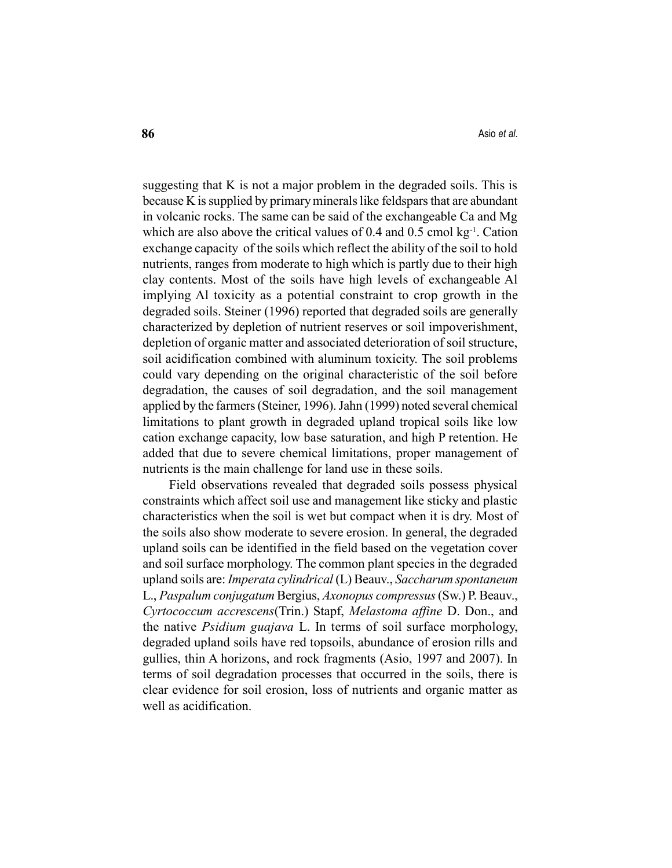suggesting that K is not a major problem in the degraded soils. This is because K is supplied by primary minerals like feldspars that are abundant in volcanic rocks. The same can be said of the exchangeable Ca and Mg which are also above the critical values of  $0.4$  and  $0.5$  cmol kg<sup>-1</sup>. Cation exchange capacity of the soils which reflect the ability of the soil to hold nutrients, ranges from moderate to high which is partly due to their high clay contents. Most of the soils have high levels of exchangeable Al implying Al toxicity as a potential constraint to crop growth in the degraded soils. Steiner (1996) reported that degraded soils are generally characterized by depletion of nutrient reserves or soil impoverishment, depletion of organic matter and associated deterioration of soil structure, soil acidification combined with aluminum toxicity. The soil problems could vary depending on the original characteristic of the soil before degradation, the causes of soil degradation, and the soil management applied by the farmers (Steiner, 1996). Jahn (1999) noted several chemical limitations to plant growth in degraded upland tropical soils like low cation exchange capacity, low base saturation, and high P retention. He added that due to severe chemical limitations, proper management of nutrients is the main challenge for land use in these soils.

Field observations revealed that degraded soils possess physical constraints which affect soil use and management like sticky and plastic characteristics when the soil is wet but compact when it is dry. Most of the soils also show moderate to severe erosion. In general, the degraded upland soils can be identified in the field based on the vegetation cover and soil surface morphology. The common plant species in the degraded upland soils are: Imperata cylindrical (L) Beauv., Saccharum spontaneum L., Paspalum conjugatum Bergius, Axonopus compressus (Sw.) P. Beauv., Cyrtococcum accrescens(Trin.) Stapf, Melastoma affine D. Don., and the native Psidium guajava L. In terms of soil surface morphology, degraded upland soils have red topsoils, abundance of erosion rills and gullies, thin A horizons, and rock fragments (Asio, 1997 and 2007). In terms of soil degradation processes that occurred in the soils, there is clear evidence for soil erosion, loss of nutrients and organic matter as well as acidification.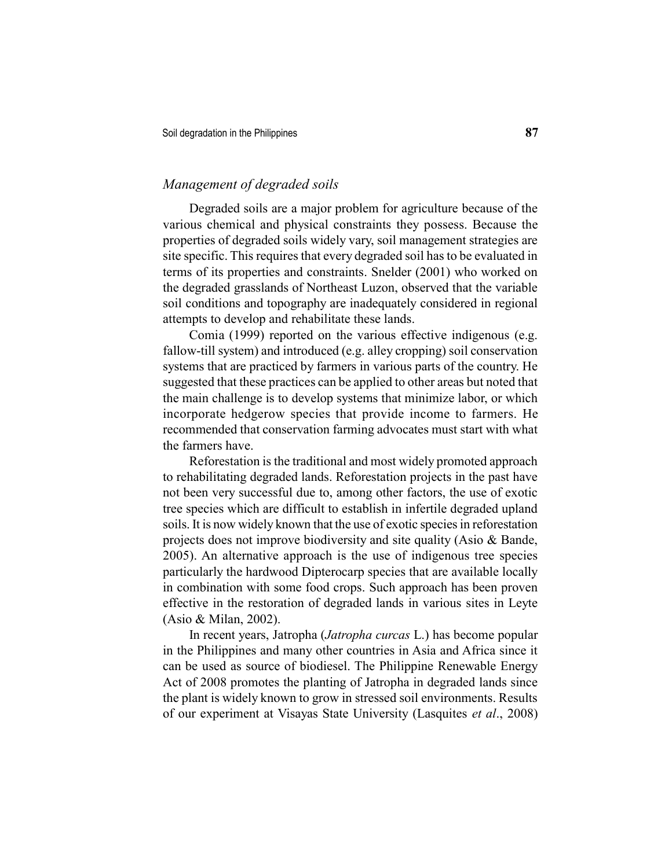# Management of degraded soils

Degraded soils are a major problem for agriculture because of the various chemical and physical constraints they possess. Because the properties of degraded soils widely vary, soil management strategies are site specific. This requires that every degraded soil has to be evaluated in terms of its properties and constraints. Snelder (2001) who worked on the degraded grasslands of Northeast Luzon, observed that the variable soil conditions and topography are inadequately considered in regional attempts to develop and rehabilitate these lands.

Comia (1999) reported on the various effective indigenous (e.g. fallow-till system) and introduced (e.g. alley cropping) soil conservation systems that are practiced by farmers in various parts of the country. He suggested that these practices can be applied to other areas but noted that the main challenge is to develop systems that minimize labor, or which incorporate hedgerow species that provide income to farmers. He recommended that conservation farming advocates must start with what the farmers have.

Reforestation is the traditional and most widely promoted approach to rehabilitating degraded lands. Reforestation projects in the past have not been very successful due to, among other factors, the use of exotic tree species which are difficult to establish in infertile degraded upland soils. It is now widely known that the use of exotic species in reforestation projects does not improve biodiversity and site quality (Asio & Bande, 2005). An alternative approach is the use of indigenous tree species particularly the hardwood Dipterocarp species that are available locally in combination with some food crops. Such approach has been proven effective in the restoration of degraded lands in various sites in Leyte (Asio & Milan, 2002).

In recent years, Jatropha (Jatropha curcas L.) has become popular in the Philippines and many other countries in Asia and Africa since it can be used as source of biodiesel. The Philippine Renewable Energy Act of 2008 promotes the planting of Jatropha in degraded lands since the plant is widely known to grow in stressed soil environments. Results of our experiment at Visayas State University (Lasquites et al., 2008)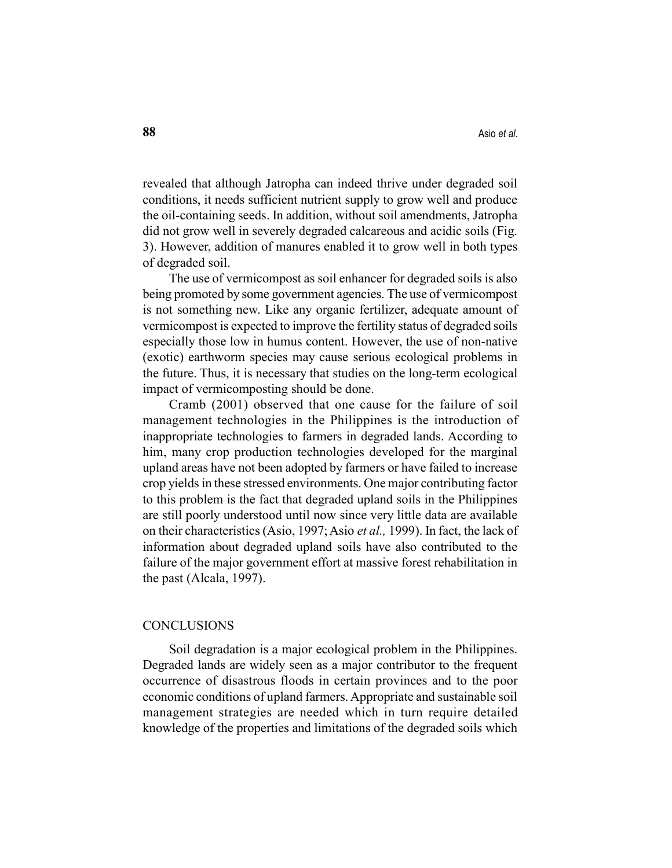revealed that although Jatropha can indeed thrive under degraded soil conditions, it needs sufficient nutrient supply to grow well and produce the oil-containing seeds. In addition, without soil amendments, Jatropha did not grow well in severely degraded calcareous and acidic soils (Fig. 3). However, addition of manures enabled it to grow well in both types of degraded soil.

The use of vermicompost as soil enhancer for degraded soils is also being promoted by some government agencies. The use of vermicompost is not something new. Like any organic fertilizer, adequate amount of vermicompost is expected to improve the fertility status of degraded soils especially those low in humus content. However, the use of non-native (exotic) earthworm species may cause serious ecological problems in the future. Thus, it is necessary that studies on the long-term ecological impact of vermicomposting should be done.

Cramb (2001) observed that one cause for the failure of soil management technologies in the Philippines is the introduction of inappropriate technologies to farmers in degraded lands. According to him, many crop production technologies developed for the marginal upland areas have not been adopted by farmers or have failed to increase crop yields in these stressed environments. One major contributing factor to this problem is the fact that degraded upland soils in the Philippines are still poorly understood until now since very little data are available on their characteristics (Asio, 1997; Asio et al., 1999). In fact, the lack of information about degraded upland soils have also contributed to the failure of the major government effort at massive forest rehabilitation in the past (Alcala, 1997).

#### CONCLUSIONS

Soil degradation is a major ecological problem in the Philippines. Degraded lands are widely seen as a major contributor to the frequent occurrence of disastrous floods in certain provinces and to the poor economic conditions of upland farmers. Appropriate and sustainable soil management strategies are needed which in turn require detailed knowledge of the properties and limitations of the degraded soils which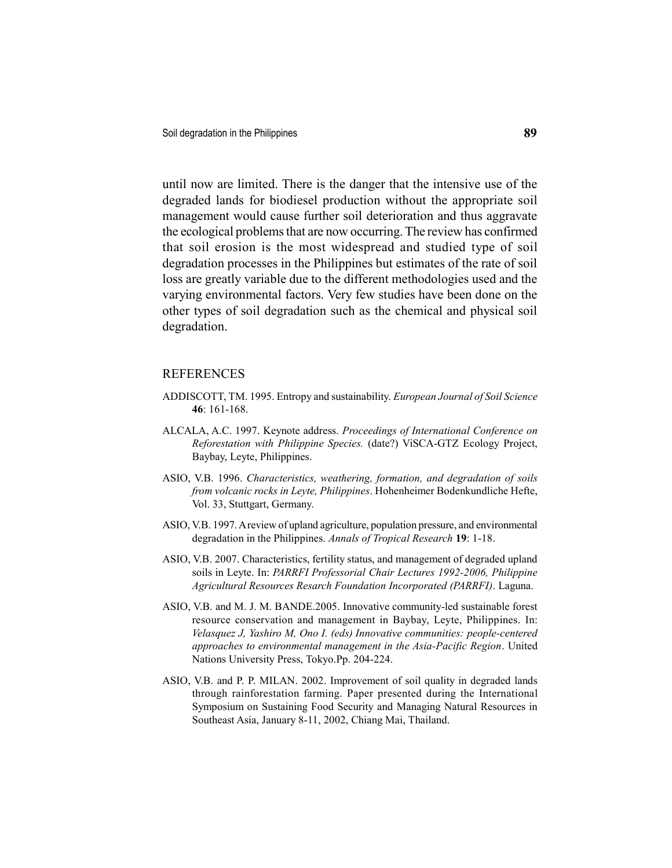until now are limited. There is the danger that the intensive use of the degraded lands for biodiesel production without the appropriate soil management would cause further soil deterioration and thus aggravate the ecological problems that are now occurring. The review has confirmed that soil erosion is the most widespread and studied type of soil degradation processes in the Philippines but estimates of the rate of soil loss are greatly variable due to the different methodologies used and the varying environmental factors. Very few studies have been done on the other types of soil degradation such as the chemical and physical soil degradation.

#### REFERENCES

- ADDISCOTT, TM. 1995. Entropy and sustainability. European Journal of Soil Science 46: 161-168.
- ALCALA, A.C. 1997. Keynote address. Proceedings of International Conference on Reforestation with Philippine Species. (date?) ViSCA-GTZ Ecology Project, Baybay, Leyte, Philippines.
- ASIO, V.B. 1996. Characteristics, weathering, formation, and degradation of soils from volcanic rocks in Leyte, Philippines. Hohenheimer Bodenkundliche Hefte, Vol. 33, Stuttgart, Germany.
- ASIO, V.B. 1997. A review of upland agriculture, population pressure, and environmental degradation in the Philippines. Annals of Tropical Research 19: 1-18.
- ASIO, V.B. 2007. Characteristics, fertility status, and management of degraded upland soils in Leyte. In: PARRFI Professorial Chair Lectures 1992-2006, Philippine Agricultural Resources Resarch Foundation Incorporated (PARRFI). Laguna.
- ASIO, V.B. and M. J. M. BANDE.2005. Innovative community-led sustainable forest resource conservation and management in Baybay, Leyte, Philippines. In: Velasquez J, Yashiro M, Ono I. (eds) Innovative communities: people-centered approaches to environmental management in the Asia-Pacific Region. United Nations University Press, Tokyo.Pp. 204-224.
- ASIO, V.B. and P. P. MILAN. 2002. Improvement of soil quality in degraded lands through rainforestation farming. Paper presented during the International Symposium on Sustaining Food Security and Managing Natural Resources in Southeast Asia, January 8-11, 2002, Chiang Mai, Thailand.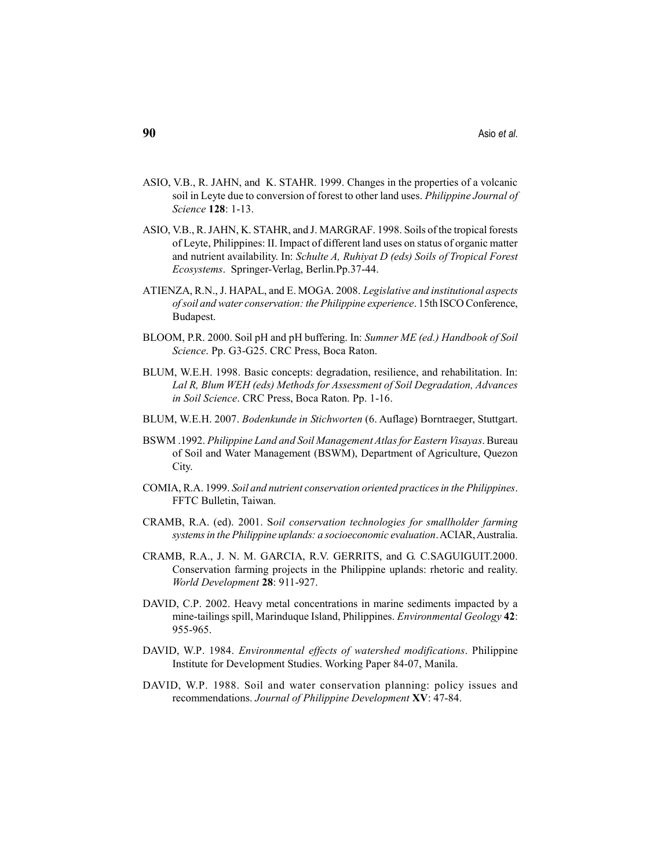- ASIO, V.B., R. JAHN, and K. STAHR. 1999. Changes in the properties of a volcanic soil in Leyte due to conversion of forest to other land uses. *Philippine Journal of* Science 128: 1-13.
- ASIO, V.B., R. JAHN, K. STAHR, and J. MARGRAF. 1998. Soils of the tropical forests of Leyte, Philippines: II. Impact of different land uses on status of organic matter and nutrient availability. In: Schulte A, Ruhiyat D (eds) Soils of Tropical Forest Ecosystems. Springer-Verlag, Berlin.Pp.37-44.
- ATIENZA, R.N., J. HAPAL, and E. MOGA. 2008. Legislative and institutional aspects of soil and water conservation: the Philippine experience. 15th ISCO Conference, Budapest.
- BLOOM, P.R. 2000. Soil pH and pH buffering. In: Sumner ME (ed.) Handbook of Soil Science. Pp. G3-G25. CRC Press, Boca Raton.
- BLUM, W.E.H. 1998. Basic concepts: degradation, resilience, and rehabilitation. In: Lal R, Blum WEH (eds) Methods for Assessment of Soil Degradation, Advances in Soil Science. CRC Press, Boca Raton. Pp. 1-16.
- BLUM, W.E.H. 2007. Bodenkunde in Stichworten (6. Auflage) Borntraeger, Stuttgart.
- BSWM .1992. Philippine Land and Soil Management Atlas for Eastern Visayas. Bureau of Soil and Water Management (BSWM), Department of Agriculture, Quezon City.
- COMIA, R.A. 1999. Soil and nutrient conservation oriented practices in the Philippines. FFTC Bulletin, Taiwan.
- CRAMB, R.A. (ed). 2001. Soil conservation technologies for smallholder farming systems in the Philippine uplands: a socioeconomic evaluation. ACIAR, Australia.
- CRAMB, R.A., J. N. M. GARCIA, R.V. GERRITS, and G. C.SAGUIGUIT.2000. Conservation farming projects in the Philippine uplands: rhetoric and reality. World Development 28: 911-927.
- DAVID, C.P. 2002. Heavy metal concentrations in marine sediments impacted by a mine-tailings spill, Marinduque Island, Philippines. Environmental Geology 42: 955-965.
- DAVID, W.P. 1984. Environmental effects of watershed modifications. Philippine Institute for Development Studies. Working Paper 84-07, Manila.
- DAVID, W.P. 1988. Soil and water conservation planning: policy issues and recommendations. Journal of Philippine Development XV: 47-84.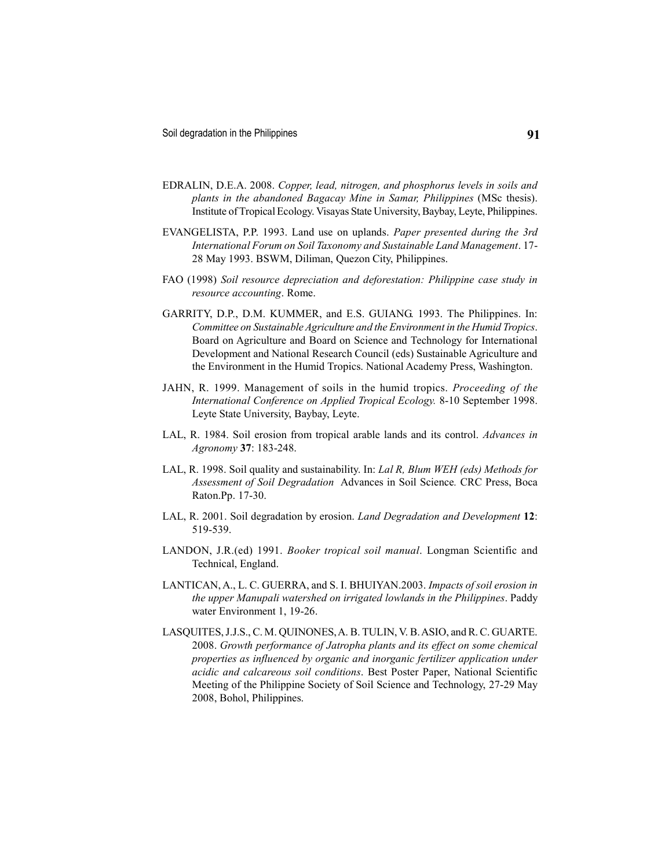- EDRALIN, D.E.A. 2008. Copper, lead, nitrogen, and phosphorus levels in soils and plants in the abandoned Bagacay Mine in Samar, Philippines (MSc thesis). Institute of Tropical Ecology. Visayas State University, Baybay, Leyte, Philippines.
- EVANGELISTA, P.P. 1993. Land use on uplands. Paper presented during the 3rd International Forum on Soil Taxonomy and Sustainable Land Management. 17- 28 May 1993. BSWM, Diliman, Quezon City, Philippines.
- FAO (1998) Soil resource depreciation and deforestation: Philippine case study in resource accounting. Rome.
- GARRITY, D.P., D.M. KUMMER, and E.S. GUIANG. 1993. The Philippines. In: Committee on Sustainable Agriculture and the Environment in the Humid Tropics. Board on Agriculture and Board on Science and Technology for International Development and National Research Council (eds) Sustainable Agriculture and the Environment in the Humid Tropics. National Academy Press, Washington.
- JAHN, R. 1999. Management of soils in the humid tropics. Proceeding of the International Conference on Applied Tropical Ecology. 8-10 September 1998. Leyte State University, Baybay, Leyte.
- LAL, R. 1984. Soil erosion from tropical arable lands and its control. Advances in Agronomy 37: 183-248.
- LAL, R. 1998. Soil quality and sustainability. In: Lal R, Blum WEH (eds) Methods for Assessment of Soil Degradation Advances in Soil Science. CRC Press, Boca Raton.Pp. 17-30.
- LAL, R. 2001. Soil degradation by erosion. Land Degradation and Development 12: 519-539.
- LANDON, J.R.(ed) 1991. Booker tropical soil manual. Longman Scientific and Technical, England.
- LANTICAN, A., L. C. GUERRA, and S. I. BHUIYAN.2003. Impacts of soil erosion in the upper Manupali watershed on irrigated lowlands in the Philippines. Paddy water Environment 1, 19-26.
- LASQUITES, J.J.S., C. M. QUINONES, A. B. TULIN, V. B. ASIO, and R. C. GUARTE. 2008. Growth performance of Jatropha plants and its effect on some chemical properties as influenced by organic and inorganic fertilizer application under acidic and calcareous soil conditions. Best Poster Paper, National Scientific Meeting of the Philippine Society of Soil Science and Technology, 27-29 May 2008, Bohol, Philippines.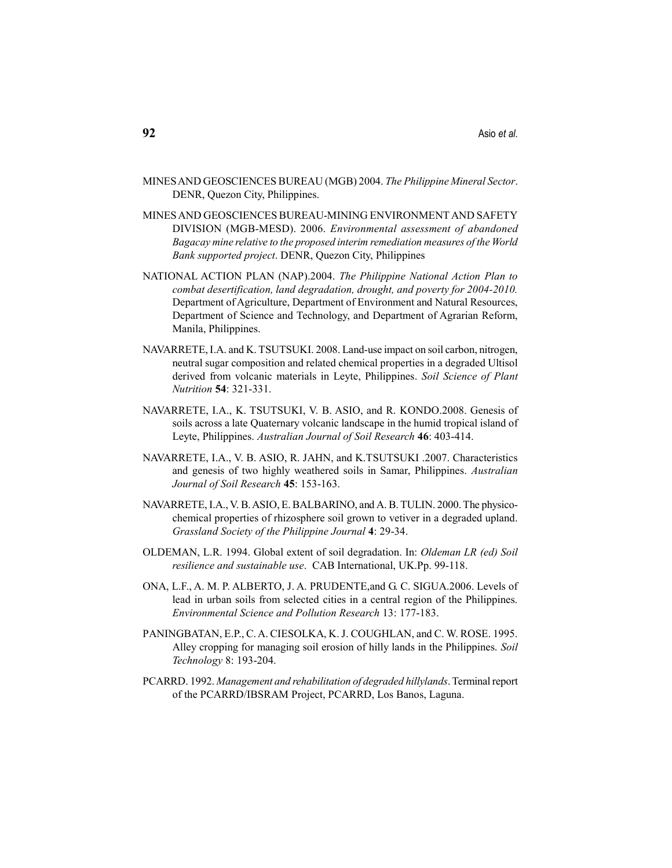- MINES AND GEOSCIENCES BUREAU (MGB) 2004. The Philippine Mineral Sector. DENR, Quezon City, Philippines.
- MINES AND GEOSCIENCES BUREAU-MINING ENVIRONMENT AND SAFETY DIVISION (MGB-MESD). 2006. Environmental assessment of abandoned Bagacay mine relative to the proposed interim remediation measures of the World Bank supported project. DENR, Quezon City, Philippines
- NATIONAL ACTION PLAN (NAP).2004. The Philippine National Action Plan to combat desertification, land degradation, drought, and poverty for 2004-2010. Department of Agriculture, Department of Environment and Natural Resources, Department of Science and Technology, and Department of Agrarian Reform, Manila, Philippines.
- NAVARRETE, I.A. and K. TSUTSUKI. 2008. Land-use impact on soil carbon, nitrogen, neutral sugar composition and related chemical properties in a degraded Ultisol derived from volcanic materials in Leyte, Philippines. Soil Science of Plant Nutrition 54: 321-331.
- NAVARRETE, I.A., K. TSUTSUKI, V. B. ASIO, and R. KONDO.2008. Genesis of soils across a late Quaternary volcanic landscape in the humid tropical island of Leyte, Philippines. Australian Journal of Soil Research 46: 403-414.
- NAVARRETE, I.A., V. B. ASIO, R. JAHN, and K.TSUTSUKI .2007. Characteristics and genesis of two highly weathered soils in Samar, Philippines. Australian Journal of Soil Research 45: 153-163.
- NAVARRETE, I.A., V. B. ASIO, E. BALBARINO, and A. B. TULIN. 2000. The physicochemical properties of rhizosphere soil grown to vetiver in a degraded upland. Grassland Society of the Philippine Journal 4: 29-34.
- OLDEMAN, L.R. 1994. Global extent of soil degradation. In: Oldeman LR (ed) Soil resilience and sustainable use. CAB International, UK.Pp. 99-118.
- ONA, L.F., A. M. P. ALBERTO, J. A. PRUDENTE,and G. C. SIGUA.2006. Levels of lead in urban soils from selected cities in a central region of the Philippines. Environmental Science and Pollution Research 13: 177-183.
- PANINGBATAN, E.P., C. A. CIESOLKA, K. J. COUGHLAN, and C. W. ROSE. 1995. Alley cropping for managing soil erosion of hilly lands in the Philippines. Soil Technology 8: 193-204.
- PCARRD. 1992. Management and rehabilitation of degraded hillylands. Terminal report of the PCARRD/IBSRAM Project, PCARRD, Los Banos, Laguna.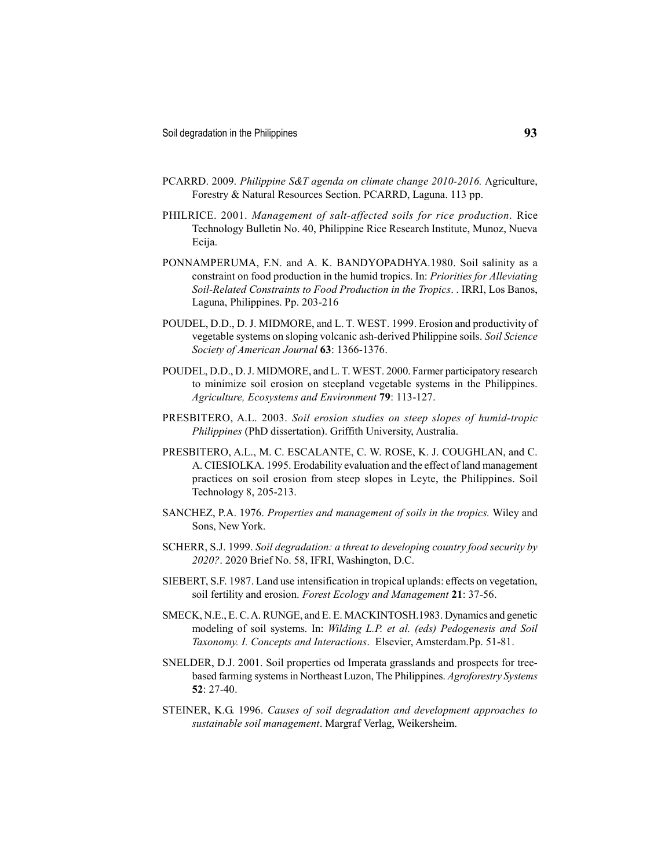- PCARRD. 2009. Philippine S&T agenda on climate change 2010-2016. Agriculture, Forestry & Natural Resources Section. PCARRD, Laguna. 113 pp.
- PHILRICE. 2001. Management of salt-affected soils for rice production. Rice Technology Bulletin No. 40, Philippine Rice Research Institute, Munoz, Nueva Ecija.
- PONNAMPERUMA, F.N. and A. K. BANDYOPADHYA.1980. Soil salinity as a constraint on food production in the humid tropics. In: Priorities for Alleviating Soil-Related Constraints to Food Production in the Tropics. . IRRI, Los Banos, Laguna, Philippines. Pp. 203-216
- POUDEL, D.D., D. J. MIDMORE, and L. T. WEST. 1999. Erosion and productivity of vegetable systems on sloping volcanic ash-derived Philippine soils. Soil Science Society of American Journal 63: 1366-1376.
- POUDEL, D.D., D. J. MIDMORE, and L. T. WEST. 2000. Farmer participatory research to minimize soil erosion on steepland vegetable systems in the Philippines. Agriculture, Ecosystems and Environment 79: 113-127.
- PRESBITERO, A.L. 2003. Soil erosion studies on steep slopes of humid-tropic Philippines (PhD dissertation). Griffith University, Australia.
- PRESBITERO, A.L., M. C. ESCALANTE, C. W. ROSE, K. J. COUGHLAN, and C. A. CIESIOLKA. 1995. Erodability evaluation and the effect of land management practices on soil erosion from steep slopes in Leyte, the Philippines. Soil Technology 8, 205-213.
- SANCHEZ, P.A. 1976. Properties and management of soils in the tropics. Wiley and Sons, New York.
- SCHERR, S.J. 1999. Soil degradation: a threat to developing country food security by 2020?. 2020 Brief No. 58, IFRI, Washington, D.C.
- SIEBERT, S.F. 1987. Land use intensification in tropical uplands: effects on vegetation, soil fertility and erosion. Forest Ecology and Management 21: 37-56.
- SMECK, N.E., E. C. A. RUNGE, and E. E. MACKINTOSH.1983. Dynamics and genetic modeling of soil systems. In: Wilding L.P. et al. (eds) Pedogenesis and Soil Taxonomy. I. Concepts and Interactions. Elsevier, Amsterdam.Pp. 51-81.
- SNELDER, D.J. 2001. Soil properties od Imperata grasslands and prospects for treebased farming systems in Northeast Luzon, The Philippines. Agroforestry Systems 52: 27-40.
- STEINER, K.G. 1996. Causes of soil degradation and development approaches to sustainable soil management. Margraf Verlag, Weikersheim.